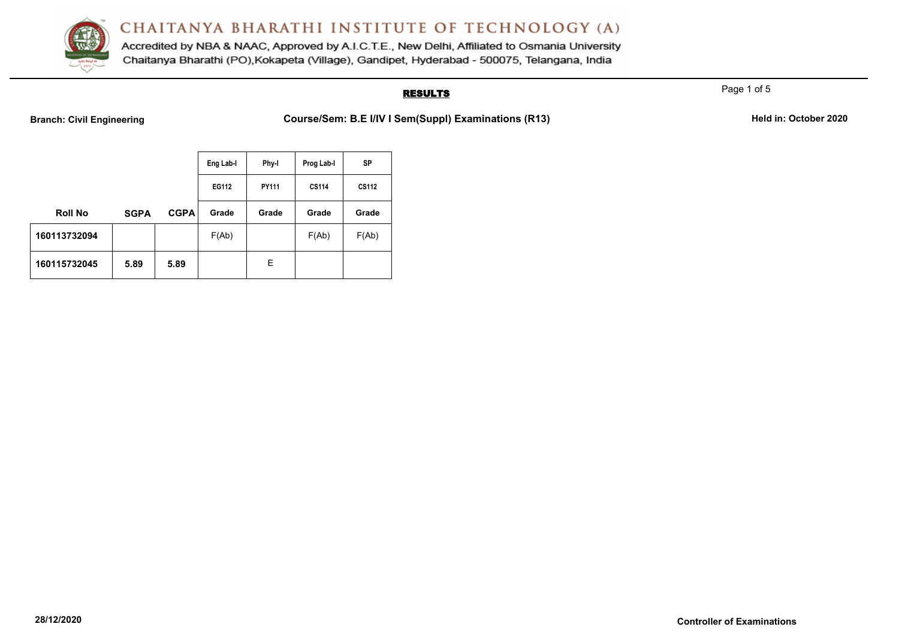

Accredited by NBA & NAAC, Approved by A.I.C.T.E., New Delhi, Affiliated to Osmania University Chaitanya Bharathi (PO), Kokapeta (Village), Gandipet, Hyderabad - 500075, Telangana, India

## **RESULTS**

Page 1 of 5

**Branch: Civil Engineering <b>Course/Sem: B.E** I/IV I Sem(Suppl) Examinations (R13) **Held in: October 2020** 

|                |             |             | Eng Lab-I | Phy-I | Prog Lab-I   | <b>SP</b>    |
|----------------|-------------|-------------|-----------|-------|--------------|--------------|
|                |             |             | EG112     | PY111 | <b>CS114</b> | <b>CS112</b> |
| <b>Roll No</b> | <b>SGPA</b> | <b>CGPA</b> | Grade     | Grade | Grade        | Grade        |
| 160113732094   |             |             | F(Ab)     |       | F(Ab)        | F(Ab)        |
| 160115732045   | 5.89        | 5.89        |           | E.    |              |              |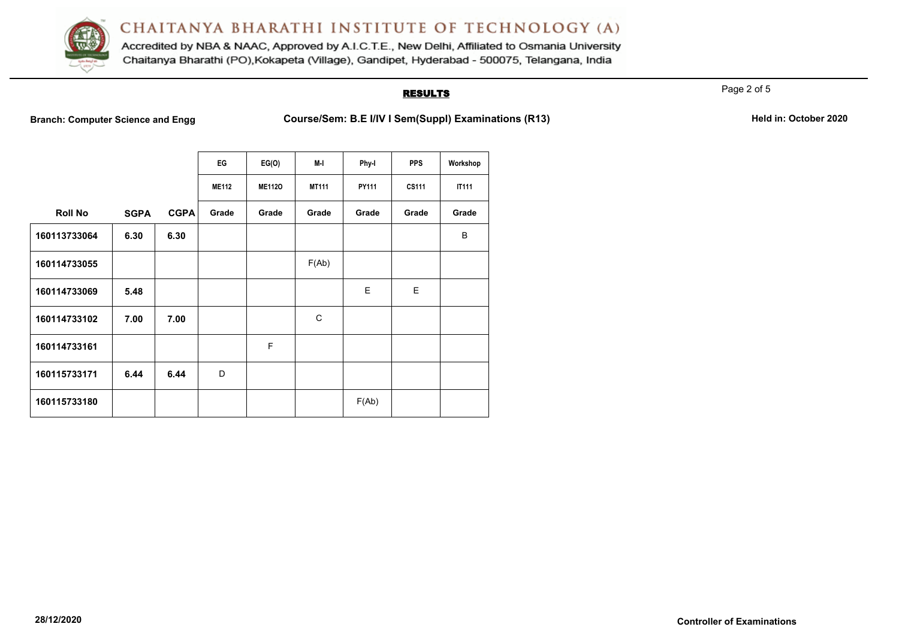

Accredited by NBA & NAAC, Approved by A.I.C.T.E., New Delhi, Affiliated to Osmania University Chaitanya Bharathi (PO), Kokapeta (Village), Gandipet, Hyderabad - 500075, Telangana, India

## **RESULTS**

Page 2 of 5

**Branch: Computer Science and Engg Course/Sem: B.E I/IV I Sem(Suppl) Examinations (R13)** Held in: October 2020

|                |             |             | EG           | EG(O)         | M-I          | Phy-I | <b>PPS</b>   | Workshop     |
|----------------|-------------|-------------|--------------|---------------|--------------|-------|--------------|--------------|
|                |             |             | <b>ME112</b> | <b>ME112O</b> | <b>MT111</b> | PY111 | <b>CS111</b> | <b>IT111</b> |
| <b>Roll No</b> | <b>SGPA</b> | <b>CGPA</b> | Grade        | Grade         | Grade        | Grade | Grade        | Grade        |
| 160113733064   | 6.30        | 6.30        |              |               |              |       |              | B            |
| 160114733055   |             |             |              |               | F(Ab)        |       |              |              |
| 160114733069   | 5.48        |             |              |               |              | E     | E            |              |
| 160114733102   | 7.00        | 7.00        |              |               | C            |       |              |              |
| 160114733161   |             |             |              | F             |              |       |              |              |
| 160115733171   | 6.44        | 6.44        | D            |               |              |       |              |              |
| 160115733180   |             |             |              |               |              | F(Ab) |              |              |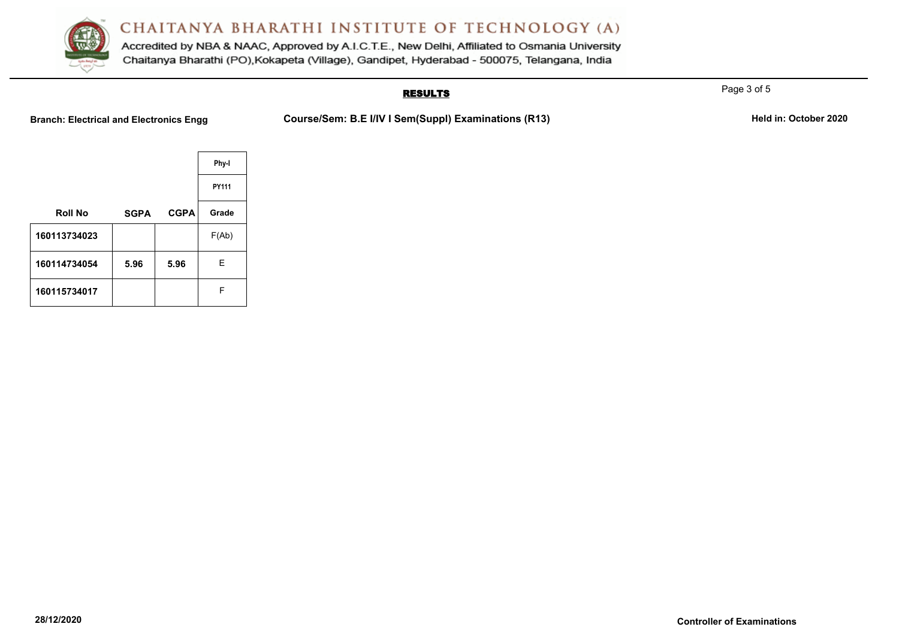

Accredited by NBA & NAAC, Approved by A.I.C.T.E., New Delhi, Affiliated to Osmania University Chaitanya Bharathi (PO), Kokapeta (Village), Gandipet, Hyderabad - 500075, Telangana, India

## **RESULTS**

Branch: Electrical and Electronics Engg **Course/Sem: B.E I/IV I Sem(Suppl) Examinations (R13)** Held in: October 2020

|                |             |             | Phy-I |
|----------------|-------------|-------------|-------|
|                |             |             | PY111 |
| <b>Roll No</b> | <b>SGPA</b> | <b>CGPA</b> | Grade |
| 160113734023   |             |             | F(Ab) |
| 160114734054   | 5.96        | 5.96        | Е     |
| 160115734017   |             |             | F     |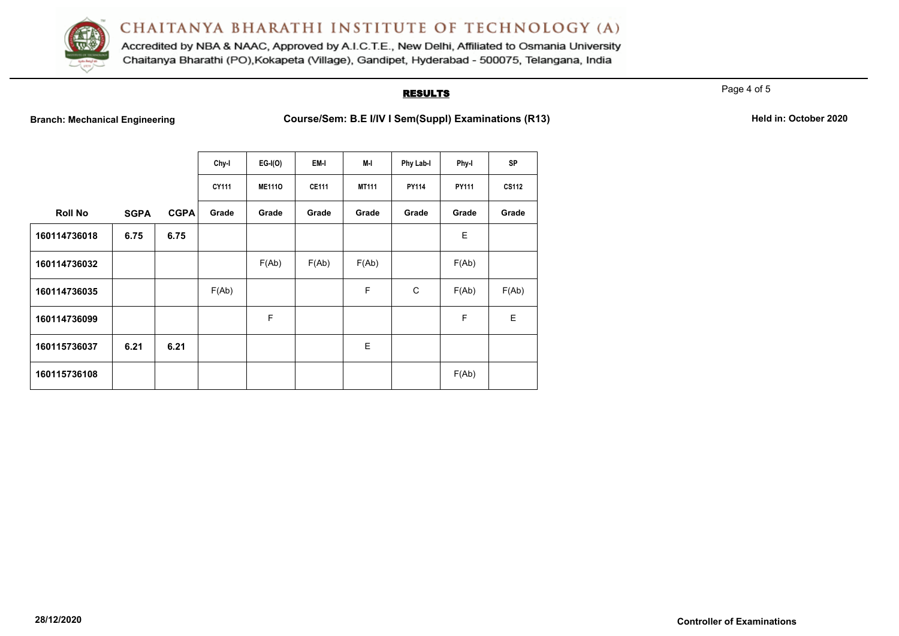

Accredited by NBA & NAAC, Approved by A.I.C.T.E., New Delhi, Affiliated to Osmania University Chaitanya Bharathi (PO), Kokapeta (Village), Gandipet, Hyderabad - 500075, Telangana, India

## **RESULTS**

Page 4 of 5

**Branch: Mechanical Engineering <b>Course/Sem: B.E I/IV I Sem(Suppl) Examinations (R13)** Held in: October 2020

|                |             |             | Chy-I | $EG-I(O)$     | EM-I         | M-I          | Phy Lab-I    | <b>Phy-I</b> | <b>SP</b>    |
|----------------|-------------|-------------|-------|---------------|--------------|--------------|--------------|--------------|--------------|
|                |             |             | CY111 | <b>ME1110</b> | <b>CE111</b> | <b>MT111</b> | <b>PY114</b> | PY111        | <b>CS112</b> |
| <b>Roll No</b> | <b>SGPA</b> | <b>CGPA</b> | Grade | Grade         | Grade        | Grade        | Grade        | Grade        | Grade        |
| 160114736018   | 6.75        | 6.75        |       |               |              |              |              | Е            |              |
| 160114736032   |             |             |       | F(Ab)         | F(Ab)        | F(Ab)        |              | F(Ab)        |              |
| 160114736035   |             |             | F(Ab) |               |              | F            | C            | F(Ab)        | F(Ab)        |
| 160114736099   |             |             |       | F             |              |              |              | F            | E            |
| 160115736037   | 6.21        | 6.21        |       |               |              | E            |              |              |              |
| 160115736108   |             |             |       |               |              |              |              | F(Ab)        |              |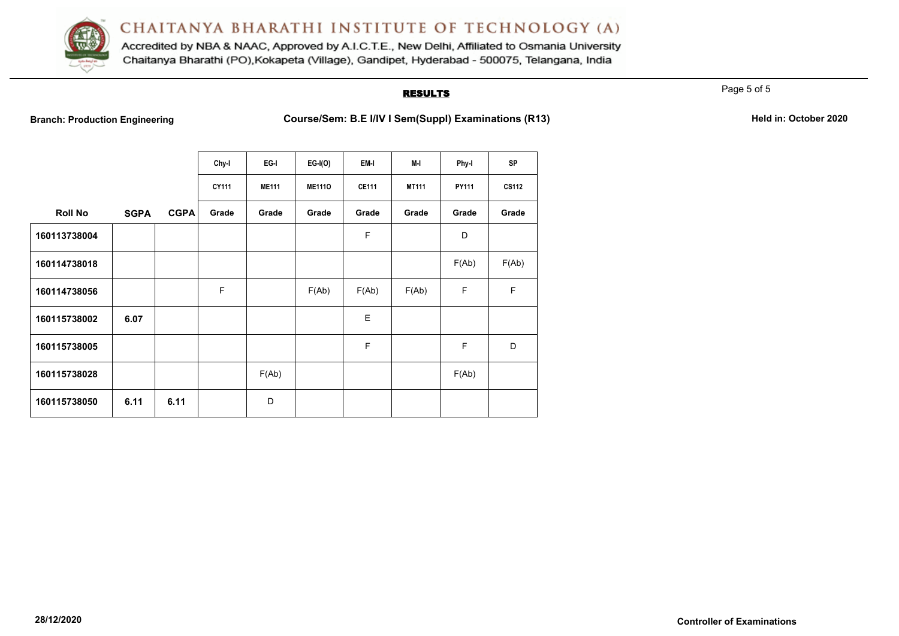

Accredited by NBA & NAAC, Approved by A.I.C.T.E., New Delhi, Affiliated to Osmania University Chaitanya Bharathi (PO), Kokapeta (Village), Gandipet, Hyderabad - 500075, Telangana, India

## **RESULTS**

Page 5 of 5

**Branch: Production Engineering <b>Course/Sem: B.E I/IV I Sem(Suppl) Examinations (R13) Course** 

|  |  | Held in: October 2020 |  |
|--|--|-----------------------|--|
|--|--|-----------------------|--|

|                |             |             | Chy-I | EG-I         | $EG-I(O)$     | EM-I         | M-I          | Phy-I | <b>SP</b>    |
|----------------|-------------|-------------|-------|--------------|---------------|--------------|--------------|-------|--------------|
|                |             |             | CY111 | <b>ME111</b> | <b>ME1110</b> | <b>CE111</b> | <b>MT111</b> | PY111 | <b>CS112</b> |
| <b>Roll No</b> | <b>SGPA</b> | <b>CGPA</b> | Grade | Grade        | Grade         | Grade        | Grade        | Grade | Grade        |
| 160113738004   |             |             |       |              |               | F            |              | D     |              |
| 160114738018   |             |             |       |              |               |              |              | F(Ab) | F(Ab)        |
| 160114738056   |             |             | F     |              | F(Ab)         | F(Ab)        | F(Ab)        | F     | F            |
| 160115738002   | 6.07        |             |       |              |               | Е            |              |       |              |
| 160115738005   |             |             |       |              |               | F            |              | F     | D            |
| 160115738028   |             |             |       | F(Ab)        |               |              |              | F(Ab) |              |
| 160115738050   | 6.11        | 6.11        |       | D            |               |              |              |       |              |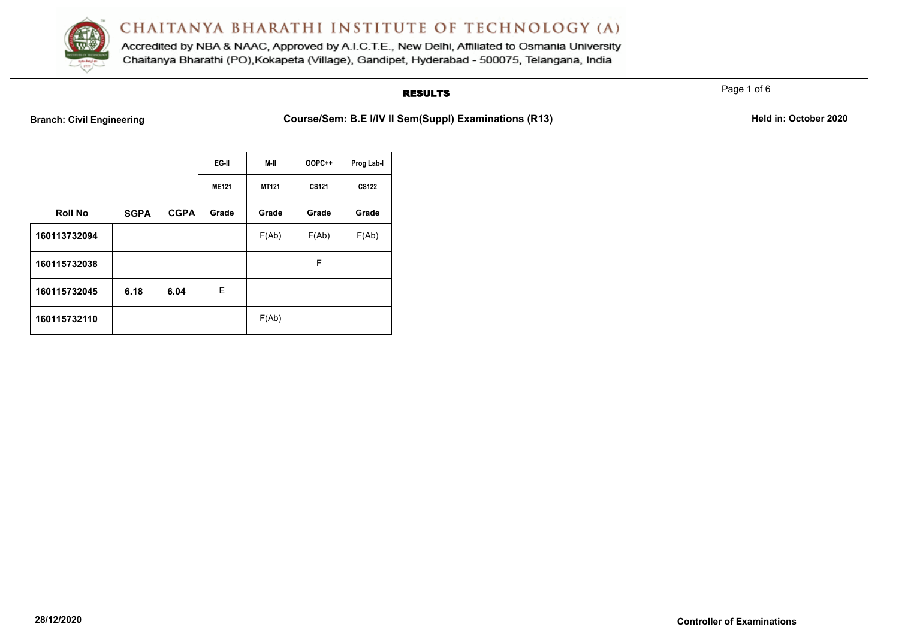

Accredited by NBA & NAAC, Approved by A.I.C.T.E., New Delhi, Affiliated to Osmania University Chaitanya Bharathi (PO), Kokapeta (Village), Gandipet, Hyderabad - 500075, Telangana, India

## **RESULTS**

Page 1 of 6

**Branch: Civil Engineering <b>Course/Sem: B.E** I/IV II Sem(Suppl) Examinations (R13) **Held in: October 2020** 

|                |             |             | EG-II<br>M-II |              | <b>OOPC++</b> | Prog Lab-I   |
|----------------|-------------|-------------|---------------|--------------|---------------|--------------|
|                |             |             | <b>ME121</b>  | <b>MT121</b> | <b>CS121</b>  | <b>CS122</b> |
| <b>Roll No</b> | <b>SGPA</b> | <b>CGPA</b> | Grade         | Grade        | Grade         | Grade        |
| 160113732094   |             |             |               | F(Ab)        | F(Ab)         | F(Ab)        |
| 160115732038   |             |             |               |              | F             |              |
| 160115732045   | 6.18        | 6.04        | E.            |              |               |              |
| 160115732110   |             |             |               | F(Ab)        |               |              |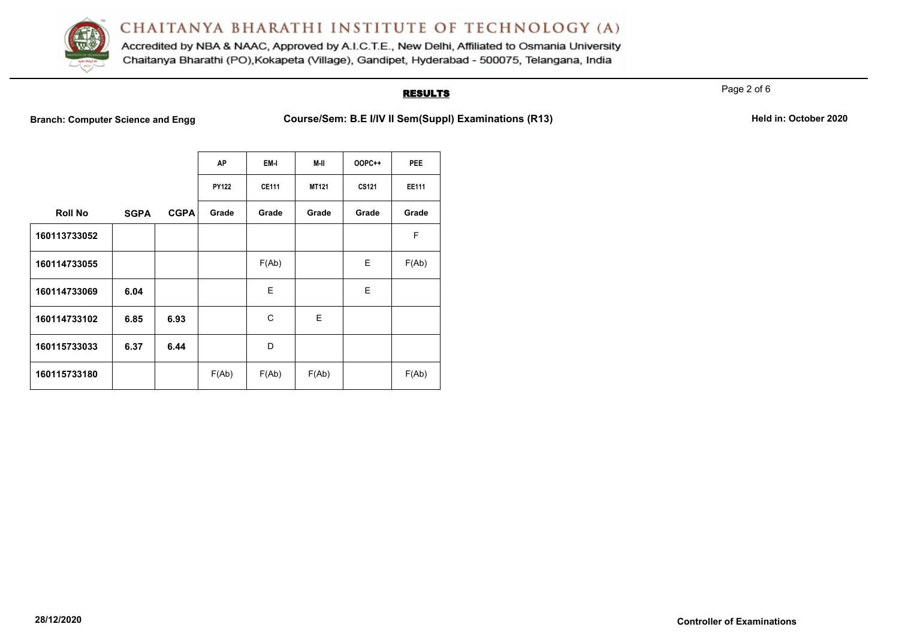

Accredited by NBA & NAAC, Approved by A.I.C.T.E., New Delhi, Affiliated to Osmania University Chaitanya Bharathi (PO), Kokapeta (Village), Gandipet, Hyderabad - 500075, Telangana, India

## **RESULTS**

Page 2 of 6

**Branch: Computer Science and Engg Course/Sem: B.E I/IV II Sem(Suppl) Examinations (R13)** Held in: October 2020

|                |             |             | <b>AP</b>    | EM-I         | M-II         | <b>OOPC++</b> | <b>PEE</b>   |
|----------------|-------------|-------------|--------------|--------------|--------------|---------------|--------------|
|                |             |             | <b>PY122</b> | <b>CE111</b> | <b>MT121</b> | <b>CS121</b>  | <b>EE111</b> |
| <b>Roll No</b> | <b>SGPA</b> | <b>CGPA</b> | Grade        | Grade        | Grade        | Grade         | Grade        |
| 160113733052   |             |             |              |              |              |               | F            |
| 160114733055   |             |             |              | F(Ab)        |              | Е             | F(Ab)        |
| 160114733069   | 6.04        |             |              | E            |              | E             |              |
| 160114733102   | 6.85        | 6.93        |              | C            | E            |               |              |
| 160115733033   | 6.37        | 6.44        |              | D            |              |               |              |
| 160115733180   |             |             | F(Ab)        | F(Ab)        | F(Ab)        |               | F(Ab)        |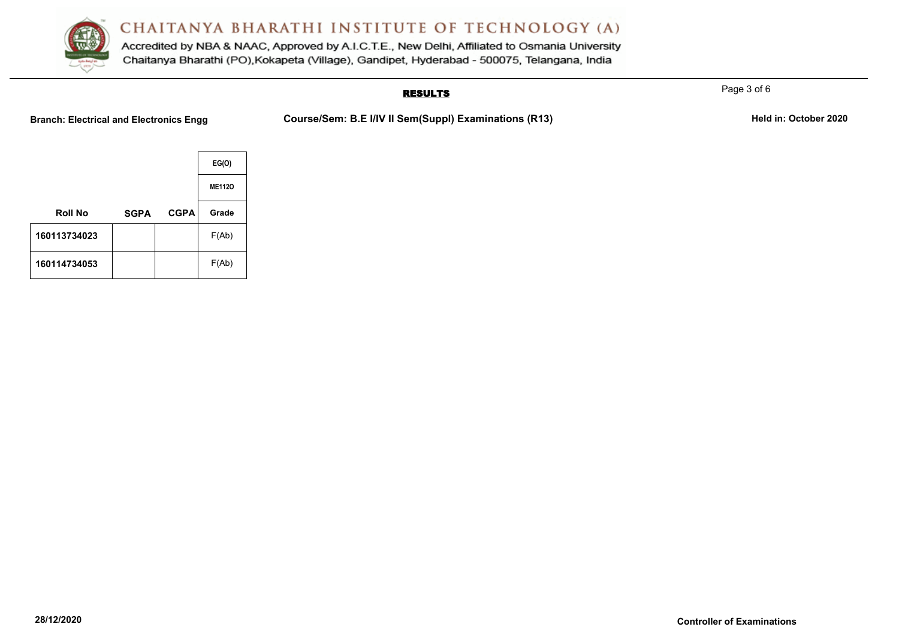

Accredited by NBA & NAAC, Approved by A.I.C.T.E., New Delhi, Affiliated to Osmania University Chaitanya Bharathi (PO), Kokapeta (Village), Gandipet, Hyderabad - 500075, Telangana, India

## **RESULTS**

Page 3 of 6

**Branch: Electrical and Electronics Engg Course/Sem: B.E I/IV II Sem(Suppl) Examinations (R13)** Held in: October 2020

|                |             |             | EG(O)         |
|----------------|-------------|-------------|---------------|
|                |             |             | <b>ME1120</b> |
| <b>Roll No</b> | <b>SGPA</b> | <b>CGPA</b> | Grade         |
| 160113734023   |             |             | F(Ab)         |
| 160114734053   |             |             | F(Ab)         |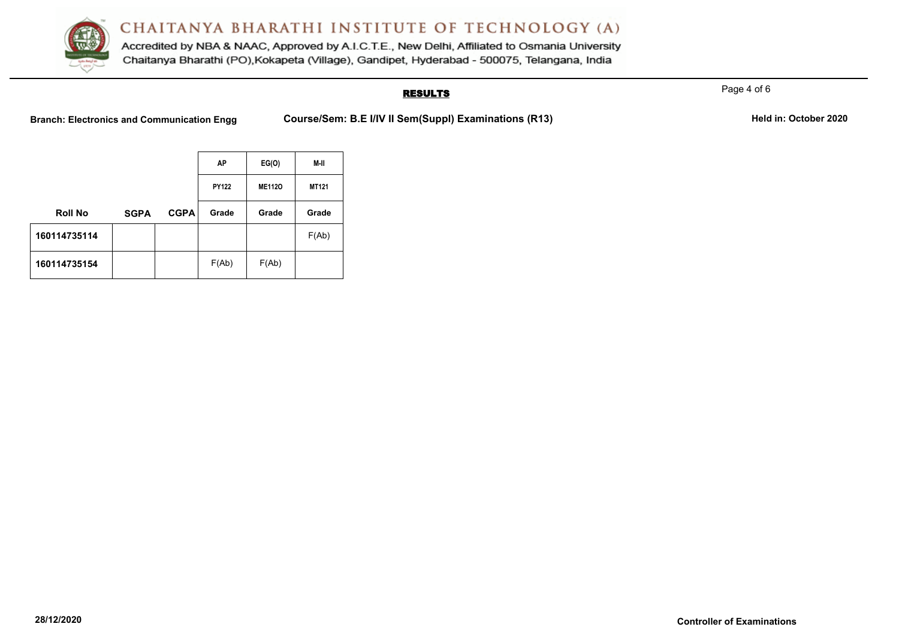

Accredited by NBA & NAAC, Approved by A.I.C.T.E., New Delhi, Affiliated to Osmania University Chaitanya Bharathi (PO), Kokapeta (Village), Gandipet, Hyderabad - 500075, Telangana, India

## **RESULTS**

Page 4 of 6

Branch: Electronics and Communication Engg Course/Sem: B.E I/IV II Sem(Suppl) Examinations (R13) Held in: October 2020

|                |             |             | AP           | EG(O)         | M-II         |
|----------------|-------------|-------------|--------------|---------------|--------------|
|                |             |             | <b>PY122</b> | <b>ME1120</b> | <b>MT121</b> |
| <b>Roll No</b> | <b>SGPA</b> | <b>CGPA</b> | Grade        | Grade         | Grade        |
| 160114735114   |             |             |              |               | F(Ab)        |
| 160114735154   |             |             | F(Ab)        | F(Ab)         |              |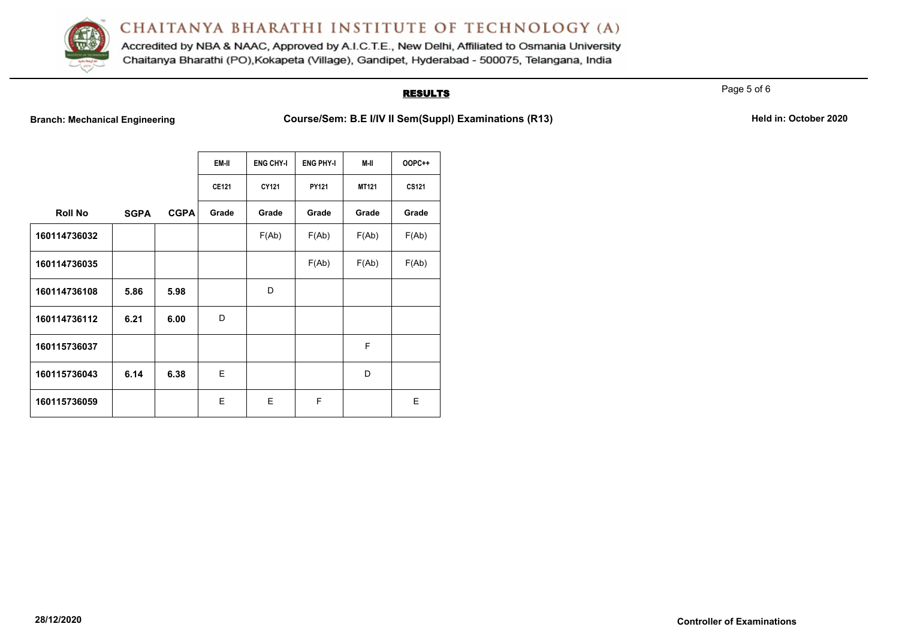

Accredited by NBA & NAAC, Approved by A.I.C.T.E., New Delhi, Affiliated to Osmania University Chaitanya Bharathi (PO), Kokapeta (Village), Gandipet, Hyderabad - 500075, Telangana, India

### **RESULTS**

Page 5 of 6

**Branch: Mechanical Engineering <b>Course/Sem: B.E I/IV II Sem(Suppl) Examinations (R13)** Held in: October 2020

|                |             |             | EM-II        | <b>ENG CHY-I</b> | <b>ENG PHY-I</b> | M-II  | <b>OOPC++</b> |
|----------------|-------------|-------------|--------------|------------------|------------------|-------|---------------|
|                |             |             | <b>CE121</b> | CY121            | PY121            | MT121 | CS121         |
| <b>Roll No</b> | <b>SGPA</b> | <b>CGPA</b> | Grade        | Grade            | Grade            | Grade | Grade         |
| 160114736032   |             |             |              | F(Ab)            | F(Ab)            | F(Ab) | F(Ab)         |
| 160114736035   |             |             |              |                  | F(Ab)            | F(Ab) | F(Ab)         |
| 160114736108   | 5.86        | 5.98        |              | D                |                  |       |               |
| 160114736112   | 6.21        | 6.00        | D            |                  |                  |       |               |
| 160115736037   |             |             |              |                  |                  | F     |               |
| 160115736043   | 6.14        | 6.38        | E            |                  |                  | D     |               |
| 160115736059   |             |             | Е            | E                | F                |       | E             |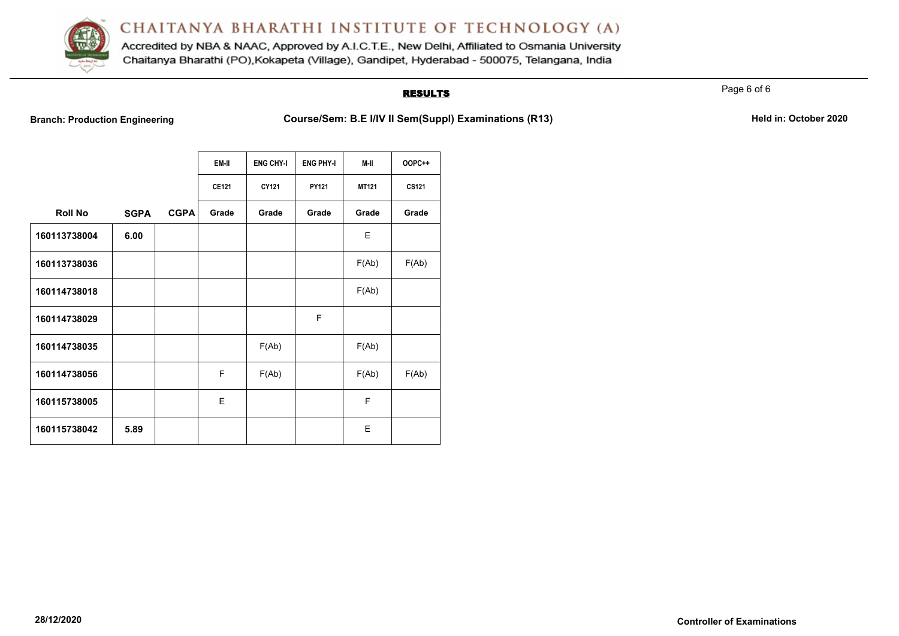

Accredited by NBA & NAAC, Approved by A.I.C.T.E., New Delhi, Affiliated to Osmania University Chaitanya Bharathi (PO), Kokapeta (Village), Gandipet, Hyderabad - 500075, Telangana, India

## **RESULTS**

Page 6 of 6

**Branch: Production Engineering <b>Course/Sem: B.E I/IV II Sem(Suppl) Examinations (R13)** Held in: October 2020

|                |             |             | EM-II        | <b>ENG CHY-I</b> | <b>ENG PHY-I</b> | M-II         | <b>OOPC++</b> |
|----------------|-------------|-------------|--------------|------------------|------------------|--------------|---------------|
|                |             |             | <b>CE121</b> | CY121            | PY121            | <b>MT121</b> | CS121         |
| <b>Roll No</b> | <b>SGPA</b> | <b>CGPA</b> | Grade        | Grade            | Grade            | Grade        | Grade         |
| 160113738004   | 6.00        |             |              |                  |                  | E            |               |
| 160113738036   |             |             |              |                  |                  | F(Ab)        | F(Ab)         |
| 160114738018   |             |             |              |                  |                  | F(Ab)        |               |
| 160114738029   |             |             |              |                  | F                |              |               |
| 160114738035   |             |             |              | F(Ab)            |                  | F(Ab)        |               |
| 160114738056   |             |             | F            | F(Ab)            |                  | F(Ab)        | F(Ab)         |
| 160115738005   |             |             | E            |                  |                  | F            |               |
| 160115738042   | 5.89        |             |              |                  |                  | E            |               |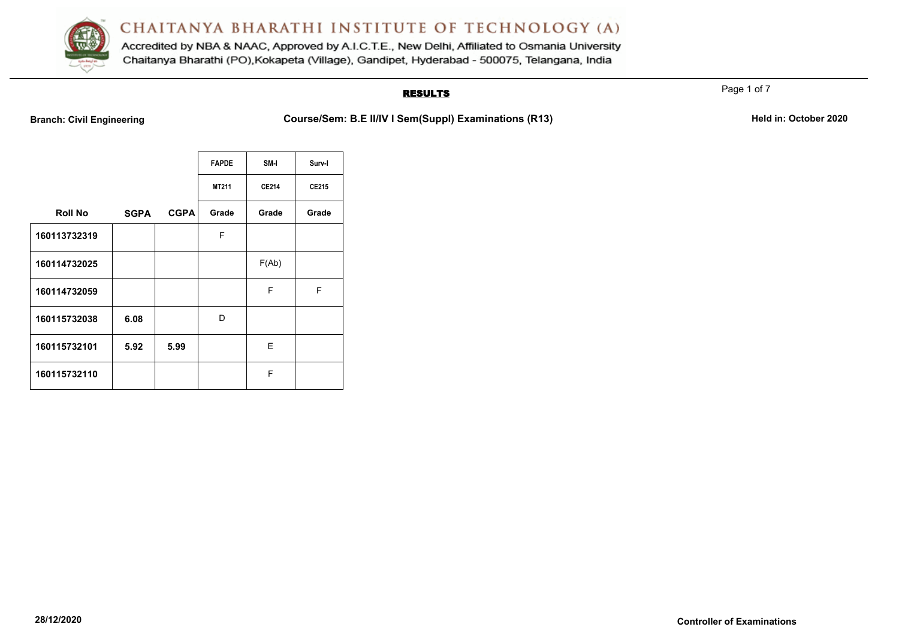

Accredited by NBA & NAAC, Approved by A.I.C.T.E., New Delhi, Affiliated to Osmania University Chaitanya Bharathi (PO), Kokapeta (Village), Gandipet, Hyderabad - 500075, Telangana, India

## **RESULTS**

**Branch: Civil Engineering <b>Course/Sem: B.E II/IV I Sem(Suppl) Examinations (R13)** Held in: October 2020

|                |             |             | <b>FAPDE</b> | SM-I         | Surv-I |
|----------------|-------------|-------------|--------------|--------------|--------|
|                |             |             | <b>MT211</b> | <b>CE214</b> | CE215  |
| <b>Roll No</b> | <b>SGPA</b> | <b>CGPA</b> | Grade        | Grade        | Grade  |
| 160113732319   |             |             | F            |              |        |
| 160114732025   |             |             |              | F(Ab)        |        |
| 160114732059   |             |             |              | F            | F      |
| 160115732038   | 6.08        |             | D            |              |        |
| 160115732101   | 5.92        | 5.99        |              | Е            |        |
| 160115732110   |             |             |              | F            |        |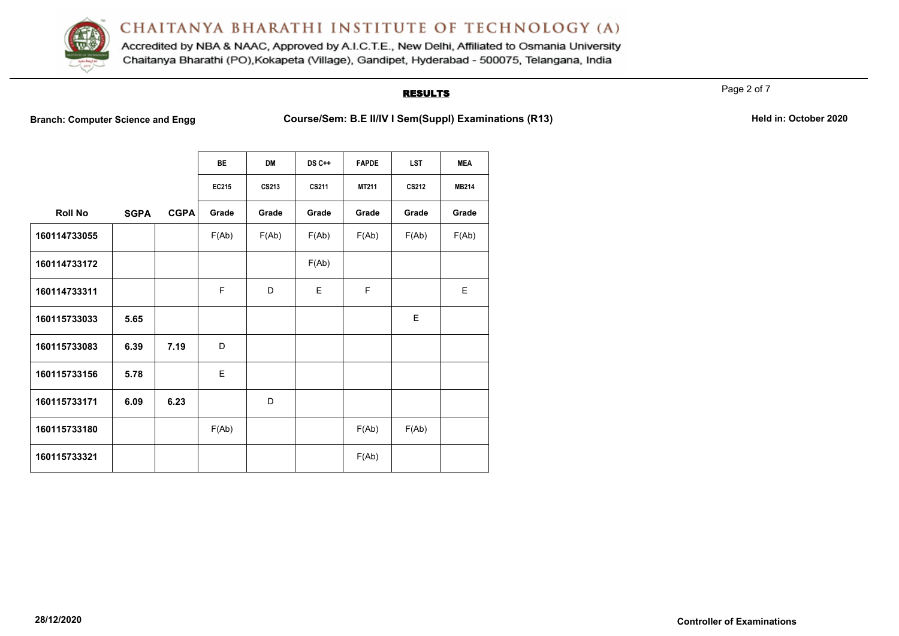

Accredited by NBA & NAAC, Approved by A.I.C.T.E., New Delhi, Affiliated to Osmania University Chaitanya Bharathi (PO), Kokapeta (Village), Gandipet, Hyderabad - 500075, Telangana, India

### **RESULTS**

Page 2 of 7

**Branch: Computer Science and Engg Course/Sem: B.E II/IV I Sem(Suppl) Examinations (R13)** Held in: October 2020

|                |             |             | <b>BE</b> | <b>DM</b> | <b>DS C++</b> | <b>FAPDE</b> | <b>LST</b> | <b>MEA</b>   |
|----------------|-------------|-------------|-----------|-----------|---------------|--------------|------------|--------------|
|                |             |             | EC215     | CS213     | CS211         | MT211        | CS212      | <b>MB214</b> |
| <b>Roll No</b> | <b>SGPA</b> | <b>CGPA</b> | Grade     | Grade     | Grade         | Grade        | Grade      | Grade        |
| 160114733055   |             |             | F(Ab)     | F(Ab)     | F(Ab)         | F(Ab)        | F(Ab)      | F(Ab)        |
| 160114733172   |             |             |           |           | F(Ab)         |              |            |              |
| 160114733311   |             |             | F         | D         | E             | F            |            | E            |
| 160115733033   | 5.65        |             |           |           |               |              | E          |              |
| 160115733083   | 6.39        | 7.19        | D         |           |               |              |            |              |
| 160115733156   | 5.78        |             | E         |           |               |              |            |              |
| 160115733171   | 6.09        | 6.23        |           | D         |               |              |            |              |
| 160115733180   |             |             | F(Ab)     |           |               | F(Ab)        | F(Ab)      |              |
| 160115733321   |             |             |           |           |               | F(Ab)        |            |              |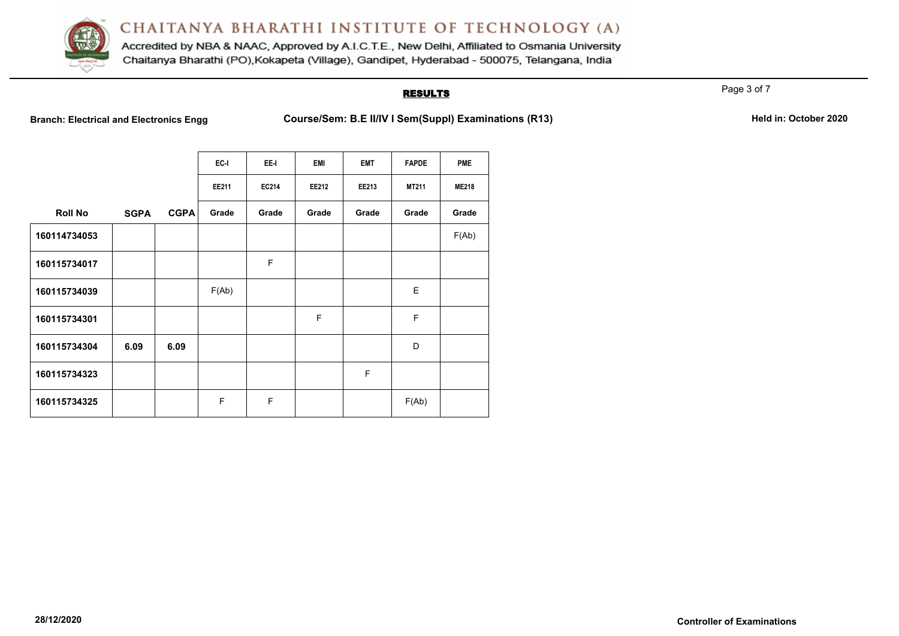

Accredited by NBA & NAAC, Approved by A.I.C.T.E., New Delhi, Affiliated to Osmania University Chaitanya Bharathi (PO), Kokapeta (Village), Gandipet, Hyderabad - 500075, Telangana, India

## **RESULTS**

Page 3 of 7

**Branch: Electrical and Electronics Engg Course/Sem: B.E II/IV I Sem(Suppl) Examinations (R13)** Held in: October 2020

|                |             |             | EC-I  | EE-I  | <b>EMI</b> | <b>EMT</b> | <b>FAPDE</b> | <b>PME</b>   |
|----------------|-------------|-------------|-------|-------|------------|------------|--------------|--------------|
|                |             |             | EE211 | EC214 | EE212      | EE213      | MT211        | <b>ME218</b> |
| <b>Roll No</b> | <b>SGPA</b> | <b>CGPA</b> | Grade | Grade | Grade      | Grade      | Grade        | Grade        |
| 160114734053   |             |             |       |       |            |            |              | F(Ab)        |
| 160115734017   |             |             |       | F     |            |            |              |              |
| 160115734039   |             |             | F(Ab) |       |            |            | E            |              |
| 160115734301   |             |             |       |       | F          |            | F            |              |
| 160115734304   | 6.09        | 6.09        |       |       |            |            | D            |              |
| 160115734323   |             |             |       |       |            | F          |              |              |
| 160115734325   |             |             | F     | F     |            |            | F(Ab)        |              |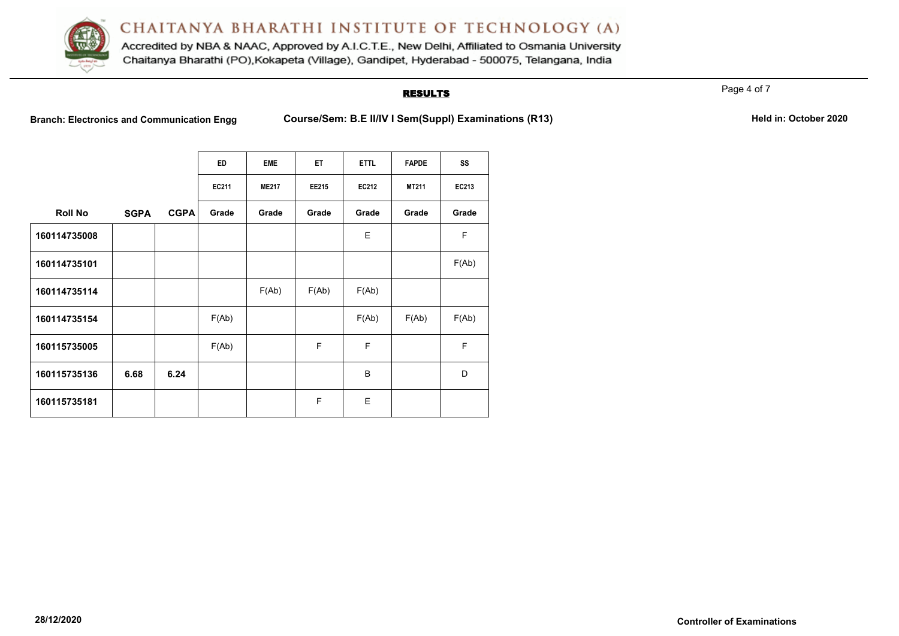

Accredited by NBA & NAAC, Approved by A.I.C.T.E., New Delhi, Affiliated to Osmania University Chaitanya Bharathi (PO), Kokapeta (Village), Gandipet, Hyderabad - 500075, Telangana, India

### **RESULTS**

Page 4 of 7

Branch: Electronics and Communication Engg Course/Sem: B.E II/IV I Sem(Suppl) Examinations (R13) Held in: October 2020

|                |             |             | <b>ED</b> | <b>EME</b>   | ET.   | <b>ETTL</b> | <b>FAPDE</b> | SS          |
|----------------|-------------|-------------|-----------|--------------|-------|-------------|--------------|-------------|
|                |             |             | EC211     | <b>ME217</b> | EE215 | EC212       | MT211        | EC213       |
| <b>Roll No</b> | <b>SGPA</b> | <b>CGPA</b> | Grade     | Grade        | Grade | Grade       | Grade        | Grade       |
| 160114735008   |             |             |           |              |       | E           |              | F           |
| 160114735101   |             |             |           |              |       |             |              | F(Ab)       |
| 160114735114   |             |             |           | F(Ab)        | F(Ab) | F(Ab)       |              |             |
| 160114735154   |             |             | F(Ab)     |              |       | F(Ab)       | F(Ab)        | F(Ab)       |
| 160115735005   |             |             | F(Ab)     |              | F     | F           |              | $\mathsf F$ |
| 160115735136   | 6.68        | 6.24        |           |              |       | B           |              | D           |
| 160115735181   |             |             |           |              | F     | E           |              |             |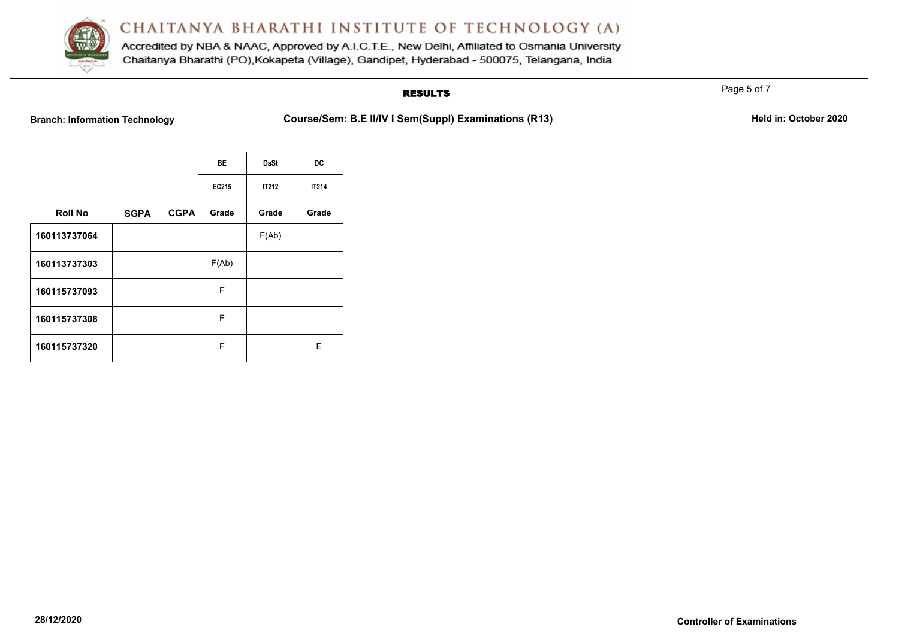

Accredited by NBA & NAAC, Approved by A.I.C.T.E., New Delhi, Affiliated to Osmania University Chaitanya Bharathi (PO), Kokapeta (Village), Gandipet, Hyderabad - 500075, Telangana, India

## **RESULTS**

**Branch: Information Technology Course/Sem: B.E II/IV I Sem(Suppl) Examinations (R13)** Held in: October 2020

|                |             |             | <b>BE</b> | <b>DaSt</b>  | DC           |
|----------------|-------------|-------------|-----------|--------------|--------------|
|                |             |             | EC215     | <b>IT212</b> | <b>IT214</b> |
| <b>Roll No</b> | <b>SGPA</b> | <b>CGPA</b> | Grade     | Grade        | Grade        |
| 160113737064   |             |             |           | F(Ab)        |              |
| 160113737303   |             |             | F(Ab)     |              |              |
| 160115737093   |             |             | F         |              |              |
| 160115737308   |             |             | F         |              |              |
| 160115737320   |             |             | F         |              | Е            |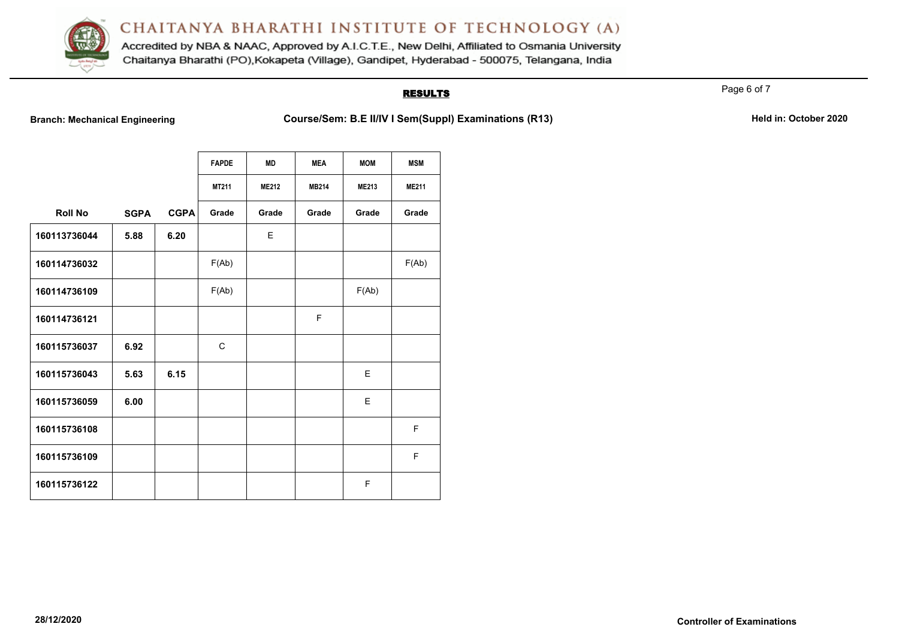

Accredited by NBA & NAAC, Approved by A.I.C.T.E., New Delhi, Affiliated to Osmania University Chaitanya Bharathi (PO), Kokapeta (Village), Gandipet, Hyderabad - 500075, Telangana, India

## **RESULTS**

Page 6 of 7

**Branch: Mechanical Engineering <b>Course/Sem: B.E II/IV I Sem(Suppl) Examinations (R13)** Held in: October 2020

|                |             |             | <b>FAPDE</b> | <b>MD</b>    | <b>MEA</b>   | <b>MOM</b>   | <b>MSM</b>   |
|----------------|-------------|-------------|--------------|--------------|--------------|--------------|--------------|
|                |             |             | MT211        | <b>ME212</b> | <b>MB214</b> | <b>ME213</b> | <b>ME211</b> |
| <b>Roll No</b> | <b>SGPA</b> | <b>CGPA</b> | Grade        | Grade        | Grade        | Grade        | Grade        |
| 160113736044   | 5.88        | 6.20        |              | E            |              |              |              |
| 160114736032   |             |             | F(Ab)        |              |              |              | F(Ab)        |
| 160114736109   |             |             | F(Ab)        |              |              | F(Ab)        |              |
| 160114736121   |             |             |              |              | F            |              |              |
| 160115736037   | 6.92        |             | $\mathsf{C}$ |              |              |              |              |
| 160115736043   | 5.63        | 6.15        |              |              |              | E            |              |
| 160115736059   | 6.00        |             |              |              |              | E            |              |
| 160115736108   |             |             |              |              |              |              | F            |
| 160115736109   |             |             |              |              |              |              | F            |
| 160115736122   |             |             |              |              |              | F            |              |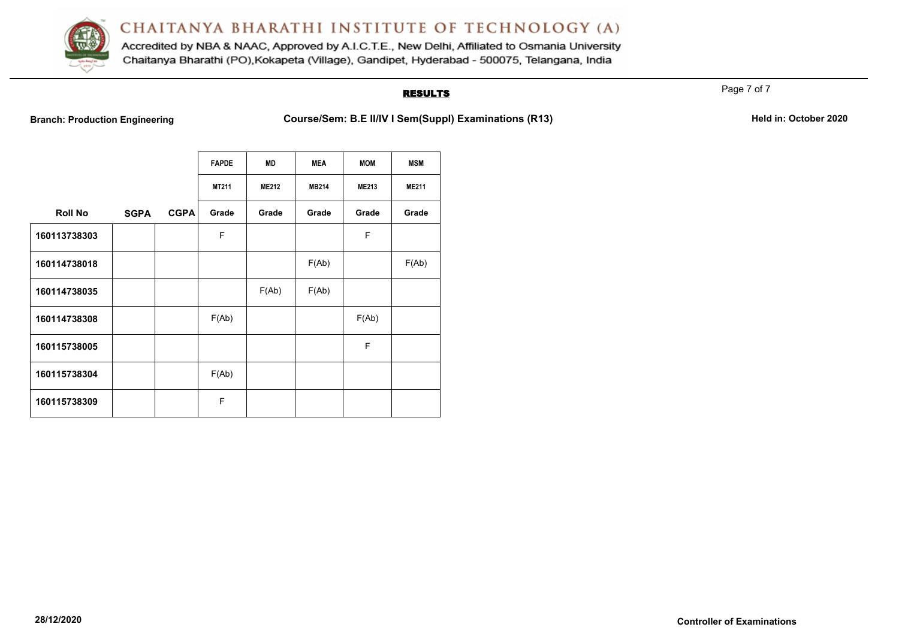

Accredited by NBA & NAAC, Approved by A.I.C.T.E., New Delhi, Affiliated to Osmania University Chaitanya Bharathi (PO), Kokapeta (Village), Gandipet, Hyderabad - 500075, Telangana, India

## **RESULTS**

Page 7 of 7

**Branch: Production Engineering <b>Course/Sem: B.E II/IV I Sem(Suppl) Examinations (R13)** Held in: October 2020

|                |             |             | <b>FAPDE</b> | <b>MD</b>    | <b>MEA</b>   | <b>MOM</b>   | <b>MSM</b>   |
|----------------|-------------|-------------|--------------|--------------|--------------|--------------|--------------|
|                |             |             | MT211        | <b>ME212</b> | <b>MB214</b> | <b>ME213</b> | <b>ME211</b> |
| <b>Roll No</b> | <b>SGPA</b> | <b>CGPA</b> | Grade        | Grade        | Grade        | Grade        | Grade        |
| 160113738303   |             |             | F            |              |              | F            |              |
| 160114738018   |             |             |              |              | F(Ab)        |              | F(Ab)        |
| 160114738035   |             |             |              | F(Ab)        | F(Ab)        |              |              |
| 160114738308   |             |             | F(Ab)        |              |              | F(Ab)        |              |
| 160115738005   |             |             |              |              |              | F            |              |
| 160115738304   |             |             | F(Ab)        |              |              |              |              |
| 160115738309   |             |             | F            |              |              |              |              |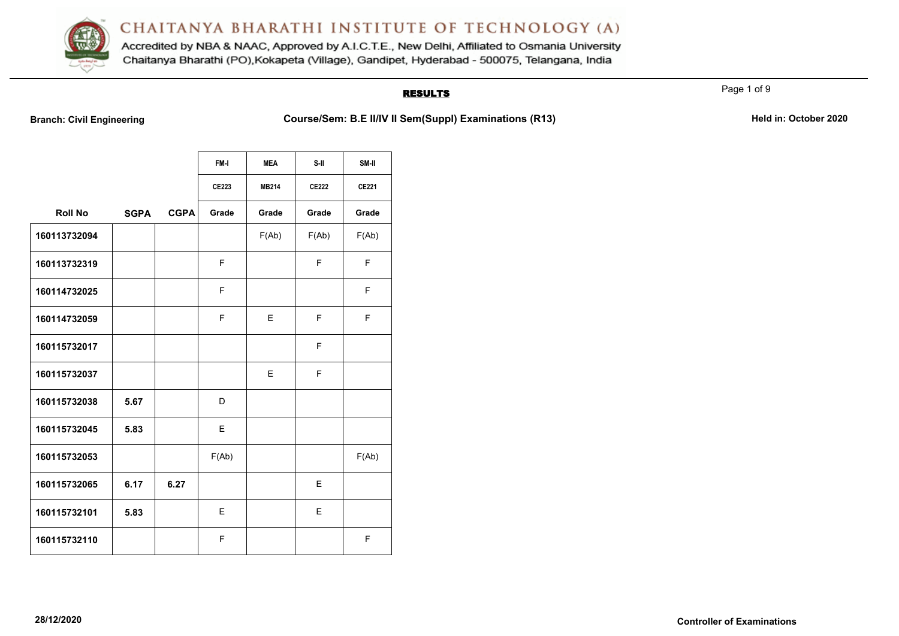

Accredited by NBA & NAAC, Approved by A.I.C.T.E., New Delhi, Affiliated to Osmania University Chaitanya Bharathi (PO), Kokapeta (Village), Gandipet, Hyderabad - 500075, Telangana, India

## **RESULTS**

Page 1 of 9

**Branch: Civil Engineering <b>Course/Sem: B.E II/IV II Sem(Suppl) Examinations (R13)** Held in: October 2020

|                |             |             | FM-I  | <b>MEA</b>   | S-II         | SM-II        |
|----------------|-------------|-------------|-------|--------------|--------------|--------------|
|                |             |             | CE223 | <b>MB214</b> | <b>CE222</b> | <b>CE221</b> |
| <b>Roll No</b> | <b>SGPA</b> | <b>CGPA</b> | Grade | Grade        | Grade        | Grade        |
| 160113732094   |             |             |       | F(Ab)        | F(Ab)        | F(Ab)        |
| 160113732319   |             |             | F     |              | F.           | F            |
| 160114732025   |             |             | F     |              |              | F            |
| 160114732059   |             |             | F     | E            | F            | F            |
| 160115732017   |             |             |       |              | F            |              |
| 160115732037   |             |             |       | E            | F            |              |
| 160115732038   | 5.67        |             | D     |              |              |              |
| 160115732045   | 5.83        |             | E     |              |              |              |
| 160115732053   |             |             | F(Ab) |              |              | F(Ab)        |
| 160115732065   | 6.17        | 6.27        |       |              | E            |              |
| 160115732101   | 5.83        |             | E     |              | E            |              |
| 160115732110   |             |             | F     |              |              | F            |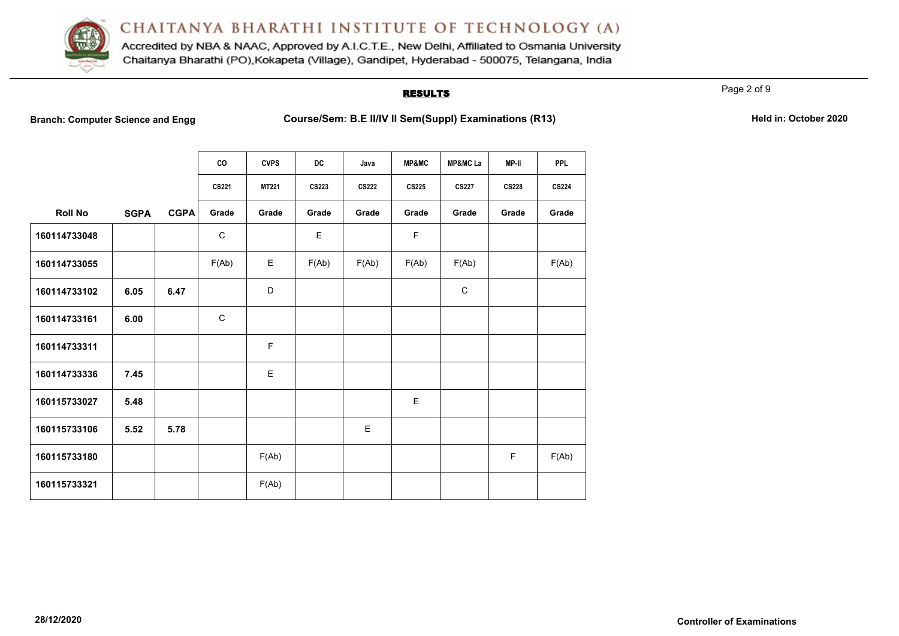

Accredited by NBA & NAAC, Approved by A.I.C.T.E., New Delhi, Affiliated to Osmania University Chaitanya Bharathi (PO), Kokapeta (Village), Gandipet, Hyderabad - 500075, Telangana, India

### **RESULTS**

Page 2 of 9

**Branch: Computer Science and Engg Course/Sem: B.E II/IV II Sem(Suppl) Examinations (R13)** Held in: October 2020

|                |             |             | CO           | <b>CVPS</b>  | <b>DC</b>    | Java         | <b>MP&amp;MC</b> | <b>MP&amp;MCLa</b> | MP-II        | <b>PPL</b>   |
|----------------|-------------|-------------|--------------|--------------|--------------|--------------|------------------|--------------------|--------------|--------------|
|                |             |             | <b>CS221</b> | <b>MT221</b> | <b>CS223</b> | <b>CS222</b> | <b>CS225</b>     | <b>CS227</b>       | <b>CS228</b> | <b>CS224</b> |
| <b>Roll No</b> | <b>SGPA</b> | <b>CGPA</b> | Grade        | Grade        | Grade        | Grade        | Grade            | Grade              | Grade        | Grade        |
| 160114733048   |             |             | $\mathsf C$  |              | E            |              | $\mathsf F$      |                    |              |              |
| 160114733055   |             |             | F(Ab)        | Е            | F(Ab)        | F(Ab)        | F(Ab)            | F(Ab)              |              | F(Ab)        |
| 160114733102   | 6.05        | 6.47        |              | D            |              |              |                  | $\mathsf{C}$       |              |              |
| 160114733161   | 6.00        |             | $\mathsf{C}$ |              |              |              |                  |                    |              |              |
| 160114733311   |             |             |              | $\mathsf F$  |              |              |                  |                    |              |              |
| 160114733336   | 7.45        |             |              | E            |              |              |                  |                    |              |              |
| 160115733027   | 5.48        |             |              |              |              |              | E                |                    |              |              |
| 160115733106   | 5.52        | 5.78        |              |              |              | E            |                  |                    |              |              |
| 160115733180   |             |             |              | F(Ab)        |              |              |                  |                    | F.           | F(Ab)        |
| 160115733321   |             |             |              | F(Ab)        |              |              |                  |                    |              |              |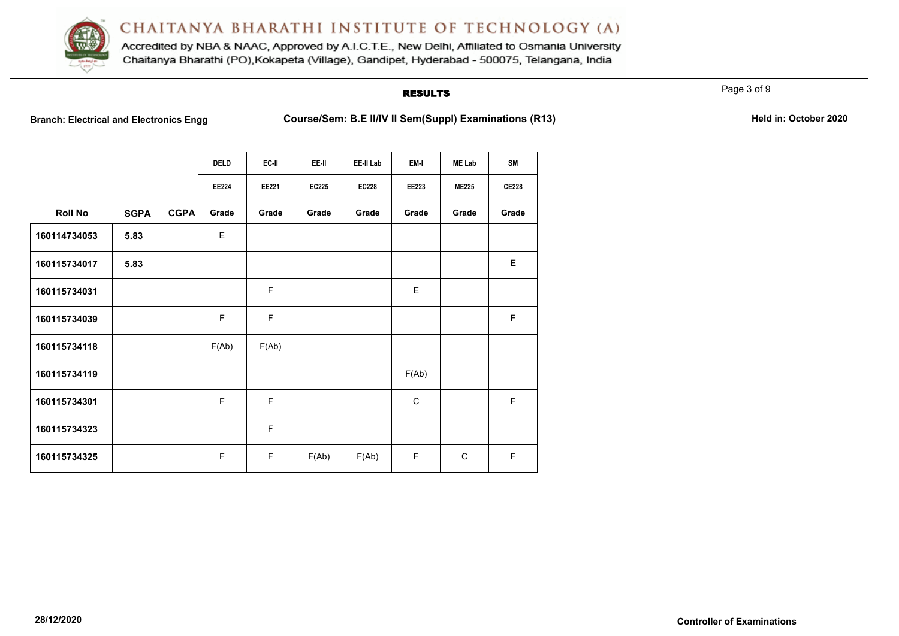

Accredited by NBA & NAAC, Approved by A.I.C.T.E., New Delhi, Affiliated to Osmania University Chaitanya Bharathi (PO), Kokapeta (Village), Gandipet, Hyderabad - 500075, Telangana, India

## **RESULTS**

Page 3 of 9

**Branch: Electrical and Electronics Engg Course/Sem: B.E II/IV II Sem(Suppl) Examinations (R13)** Held in: October 2020

|                |             |             | <b>DELD</b>  | EC-II | EE-II        | EE-II Lab    | EM-I         | <b>ME Lab</b> | <b>SM</b>    |
|----------------|-------------|-------------|--------------|-------|--------------|--------------|--------------|---------------|--------------|
|                |             |             | <b>EE224</b> | EE221 | <b>EC225</b> | <b>EC228</b> | EE223        | <b>ME225</b>  | <b>CE228</b> |
| <b>Roll No</b> | <b>SGPA</b> | <b>CGPA</b> | Grade        | Grade | Grade        | Grade        | Grade        | Grade         | Grade        |
| 160114734053   | 5.83        |             | E            |       |              |              |              |               |              |
| 160115734017   | 5.83        |             |              |       |              |              |              |               | E            |
| 160115734031   |             |             |              | F     |              |              | E            |               |              |
| 160115734039   |             |             | F            | F.    |              |              |              |               | F            |
| 160115734118   |             |             | F(Ab)        | F(Ab) |              |              |              |               |              |
| 160115734119   |             |             |              |       |              |              | F(Ab)        |               |              |
| 160115734301   |             |             | F            | F     |              |              | $\mathsf{C}$ |               | F            |
| 160115734323   |             |             |              | F     |              |              |              |               |              |
| 160115734325   |             |             | F            | F.    | F(Ab)        | F(Ab)        | F            | $\mathsf{C}$  | $\mathsf F$  |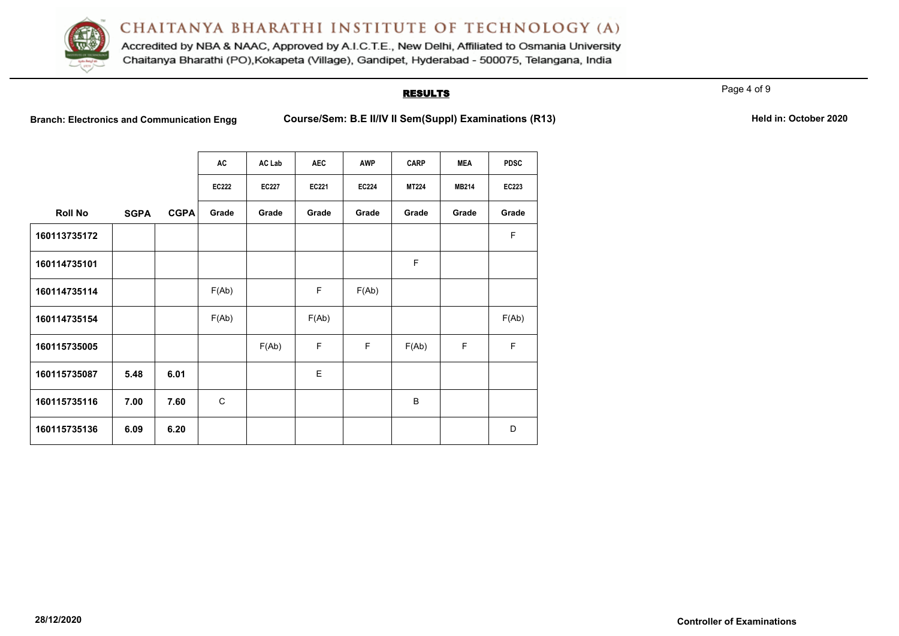

Accredited by NBA & NAAC, Approved by A.I.C.T.E., New Delhi, Affiliated to Osmania University Chaitanya Bharathi (PO), Kokapeta (Village), Gandipet, Hyderabad - 500075, Telangana, India

## **RESULTS**

Page 4 of 9

Branch: Electronics and Communication Engg Course/Sem: B.E II/IV II Sem(Suppl) Examinations (R13) Held in: October 2020

|                |             |             | AC           | AC Lab       | <b>AEC</b> | <b>AWP</b>   | <b>CARP</b>  | <b>MEA</b>   | <b>PDSC</b>  |
|----------------|-------------|-------------|--------------|--------------|------------|--------------|--------------|--------------|--------------|
|                |             |             | <b>EC222</b> | <b>EC227</b> | EC221      | <b>EC224</b> | <b>MT224</b> | <b>MB214</b> | <b>EC223</b> |
| <b>Roll No</b> | <b>SGPA</b> | <b>CGPA</b> | Grade        | Grade        | Grade      | Grade        | Grade        | Grade        | Grade        |
| 160113735172   |             |             |              |              |            |              |              |              | F            |
| 160114735101   |             |             |              |              |            |              | F            |              |              |
| 160114735114   |             |             | F(Ab)        |              | F          | F(Ab)        |              |              |              |
| 160114735154   |             |             | F(Ab)        |              | F(Ab)      |              |              |              | F(Ab)        |
| 160115735005   |             |             |              | F(Ab)        | F          | F            | F(Ab)        | F            | F            |
| 160115735087   | 5.48        | 6.01        |              |              | E          |              |              |              |              |
| 160115735116   | 7.00        | 7.60        | C            |              |            |              | B            |              |              |
| 160115735136   | 6.09        | 6.20        |              |              |            |              |              |              | D            |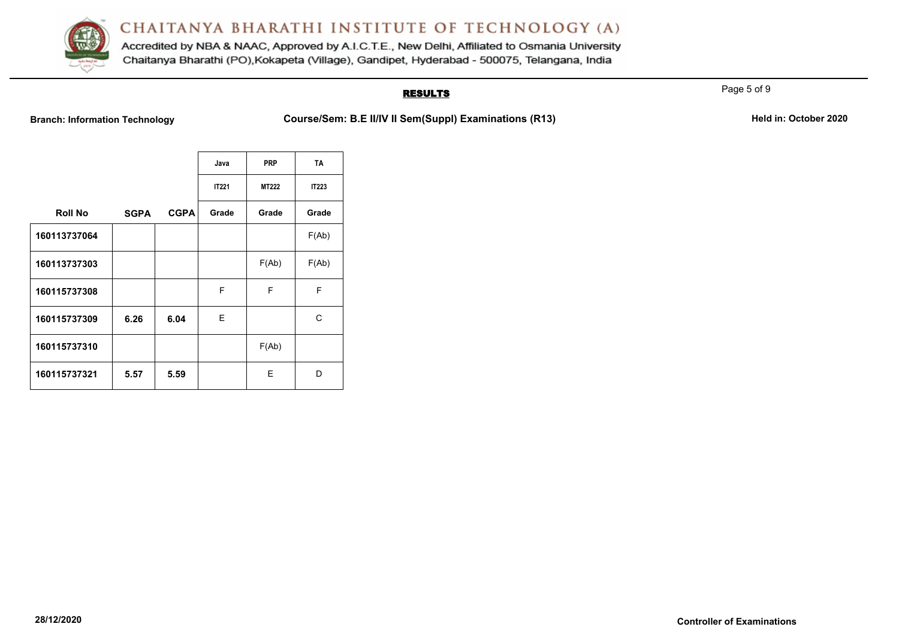

Accredited by NBA & NAAC, Approved by A.I.C.T.E., New Delhi, Affiliated to Osmania University Chaitanya Bharathi (PO), Kokapeta (Village), Gandipet, Hyderabad - 500075, Telangana, India

## **RESULTS**

**Branch: Information Technology <b>Course/Sem: B.E II/IV II Sem(SuppI) Examinations (R13)** Held in: October 2020

|                |             |             | Java         | <b>PRP</b>   | <b>TA</b>    |
|----------------|-------------|-------------|--------------|--------------|--------------|
|                |             |             | <b>IT221</b> | <b>MT222</b> | <b>IT223</b> |
| <b>Roll No</b> | <b>SGPA</b> | <b>CGPA</b> | Grade        | Grade        | Grade        |
| 160113737064   |             |             |              |              | F(Ab)        |
| 160113737303   |             |             |              | F(Ab)        | F(Ab)        |
| 160115737308   |             |             | F            | F            | F            |
| 160115737309   | 6.26        | 6.04        | Е            |              | C            |
| 160115737310   |             |             |              | F(Ab)        |              |
| 160115737321   | 5.57        | 5.59        |              | Е            | D            |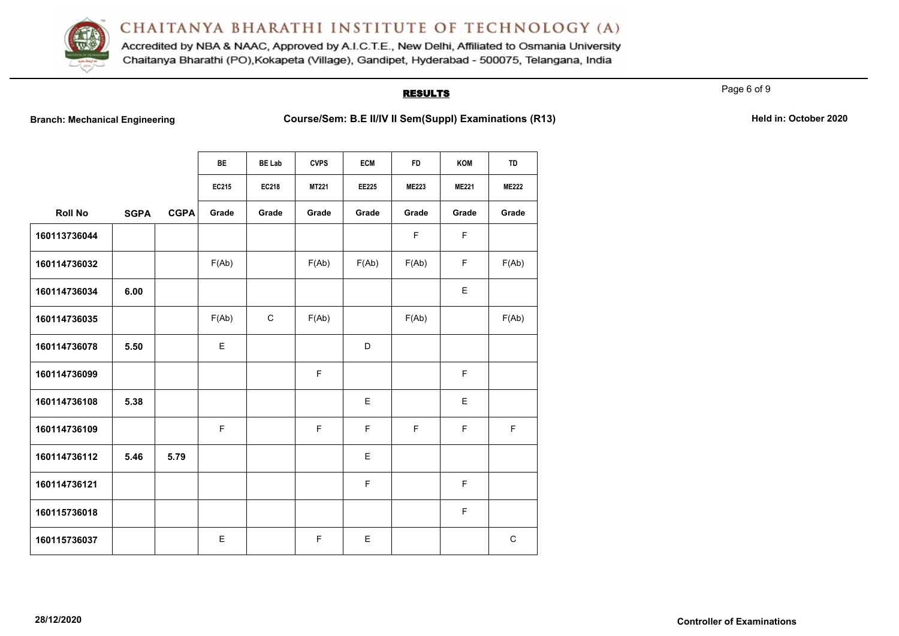

Accredited by NBA & NAAC, Approved by A.I.C.T.E., New Delhi, Affiliated to Osmania University Chaitanya Bharathi (PO), Kokapeta (Village), Gandipet, Hyderabad - 500075, Telangana, India

## **RESULTS**

Page 6 of 9

**Branch: Mechanical Engineering <b>Course/Sem: B.E II/IV II Sem(Suppl) Examinations (R13)** Held in: October 2020

|                |             |             | <b>BE</b> | <b>BE Lab</b> | <b>CVPS</b>  | <b>ECM</b>   | <b>FD</b>    | KOM          | TD           |
|----------------|-------------|-------------|-----------|---------------|--------------|--------------|--------------|--------------|--------------|
|                |             |             | EC215     | EC218         | <b>MT221</b> | <b>EE225</b> | <b>ME223</b> | <b>ME221</b> | <b>ME222</b> |
| <b>Roll No</b> | <b>SGPA</b> | <b>CGPA</b> | Grade     | Grade         | Grade        | Grade        | Grade        | Grade        | Grade        |
| 160113736044   |             |             |           |               |              |              | F            | F            |              |
| 160114736032   |             |             | F(Ab)     |               | F(Ab)        | F(Ab)        | F(Ab)        | F            | F(Ab)        |
| 160114736034   | 6.00        |             |           |               |              |              |              | E            |              |
| 160114736035   |             |             | F(Ab)     | $\mathsf{C}$  | F(Ab)        |              | F(Ab)        |              | F(Ab)        |
| 160114736078   | 5.50        |             | Е         |               |              | D            |              |              |              |
| 160114736099   |             |             |           |               | $\mathsf F$  |              |              | F            |              |
| 160114736108   | 5.38        |             |           |               |              | E            |              | E            |              |
| 160114736109   |             |             | F         |               | E            | F            | F            | F            | F            |
| 160114736112   | 5.46        | 5.79        |           |               |              | E            |              |              |              |
| 160114736121   |             |             |           |               |              | F            |              | F            |              |
| 160115736018   |             |             |           |               |              |              |              | F            |              |
| 160115736037   |             |             | E         |               | F            | E            |              |              | $\mathsf{C}$ |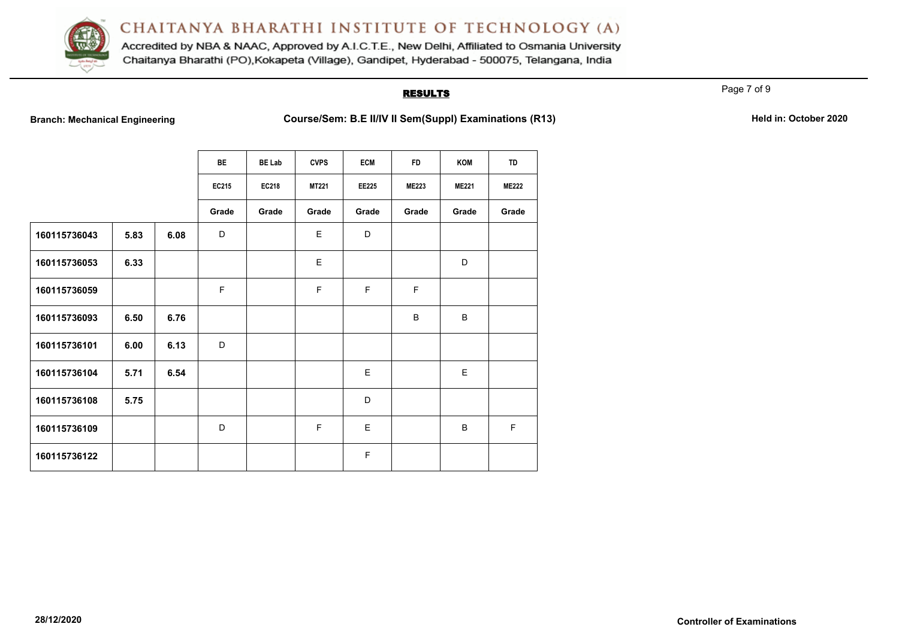

Accredited by NBA & NAAC, Approved by A.I.C.T.E., New Delhi, Affiliated to Osmania University Chaitanya Bharathi (PO), Kokapeta (Village), Gandipet, Hyderabad - 500075, Telangana, India

## **RESULTS**

Page 7 of 9

**Branch: Mechanical Engineering <b>Course/Sem: B.E II/IV II Sem(Suppl) Examinations (R13)** Held in: October 2020

|              |      |      | <b>BE</b>   | <b>BE Lab</b> | <b>CVPS</b>  | <b>ECM</b>  | <b>FD</b>    | KOM          | TD           |
|--------------|------|------|-------------|---------------|--------------|-------------|--------------|--------------|--------------|
|              |      |      | EC215       | <b>EC218</b>  | <b>MT221</b> | EE225       | <b>ME223</b> | <b>ME221</b> | <b>ME222</b> |
|              |      |      | Grade       | Grade         | Grade        | Grade       | Grade        | Grade        | Grade        |
| 160115736043 | 5.83 | 6.08 | D           |               | E            | D           |              |              |              |
| 160115736053 | 6.33 |      |             |               | E            |             |              | D            |              |
| 160115736059 |      |      | $\mathsf F$ |               | F            | F           | E            |              |              |
| 160115736093 | 6.50 | 6.76 |             |               |              |             | B            | B            |              |
| 160115736101 | 6.00 | 6.13 | D           |               |              |             |              |              |              |
| 160115736104 | 5.71 | 6.54 |             |               |              | E           |              | E            |              |
| 160115736108 | 5.75 |      |             |               |              | D           |              |              |              |
| 160115736109 |      |      | D           |               | F            | E           |              | B            | F            |
| 160115736122 |      |      |             |               |              | $\mathsf F$ |              |              |              |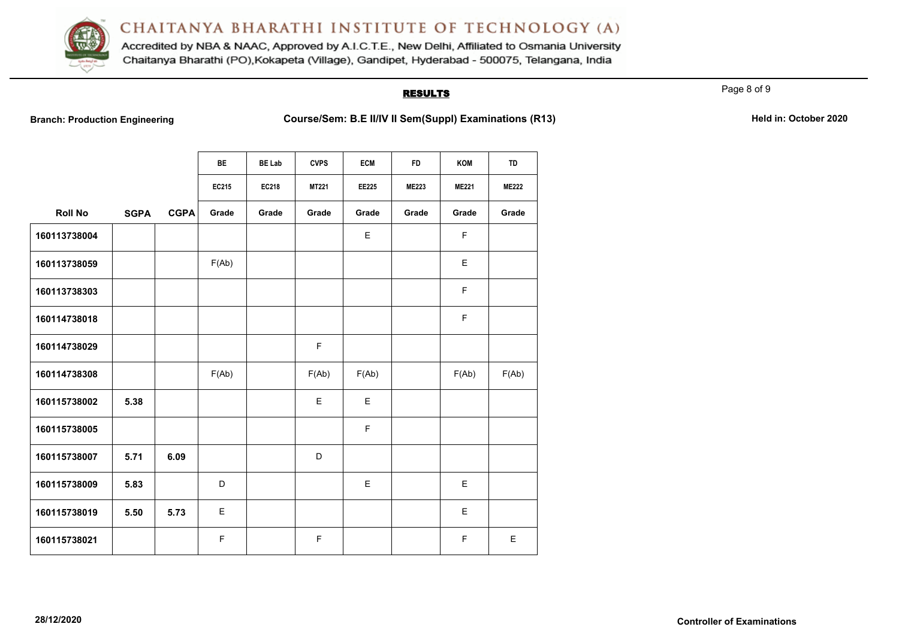

Accredited by NBA & NAAC, Approved by A.I.C.T.E., New Delhi, Affiliated to Osmania University Chaitanya Bharathi (PO), Kokapeta (Village), Gandipet, Hyderabad - 500075, Telangana, India

## **RESULTS**

Page 8 of 9

**Branch: Production Engineering <b>Course/Sem: B.E II/IV II Sem(Suppl) Examinations (R13)** Held in: October 2020

|                |             |             | <b>BE</b> | <b>BE Lab</b> | <b>CVPS</b> | <b>ECM</b>   | <b>FD</b>    | <b>KOM</b>   | <b>TD</b>    |
|----------------|-------------|-------------|-----------|---------------|-------------|--------------|--------------|--------------|--------------|
|                |             |             | EC215     | <b>EC218</b>  | MT221       | <b>EE225</b> | <b>ME223</b> | <b>ME221</b> | <b>ME222</b> |
| <b>Roll No</b> | <b>SGPA</b> | <b>CGPA</b> | Grade     | Grade         | Grade       | Grade        | Grade        | Grade        | Grade        |
| 160113738004   |             |             |           |               |             | E            |              | F            |              |
| 160113738059   |             |             | F(Ab)     |               |             |              |              | E            |              |
| 160113738303   |             |             |           |               |             |              |              | F            |              |
| 160114738018   |             |             |           |               |             |              |              | F            |              |
| 160114738029   |             |             |           |               | $\mathsf F$ |              |              |              |              |
| 160114738308   |             |             | F(Ab)     |               | F(Ab)       | F(Ab)        |              | F(Ab)        | F(Ab)        |
| 160115738002   | 5.38        |             |           |               | E           | E            |              |              |              |
| 160115738005   |             |             |           |               |             | F            |              |              |              |
| 160115738007   | 5.71        | 6.09        |           |               | D           |              |              |              |              |
| 160115738009   | 5.83        |             | D         |               |             | E            |              | Е            |              |
| 160115738019   | 5.50        | 5.73        | E         |               |             |              |              | E            |              |
| 160115738021   |             |             | F         |               | F           |              |              | F            | E            |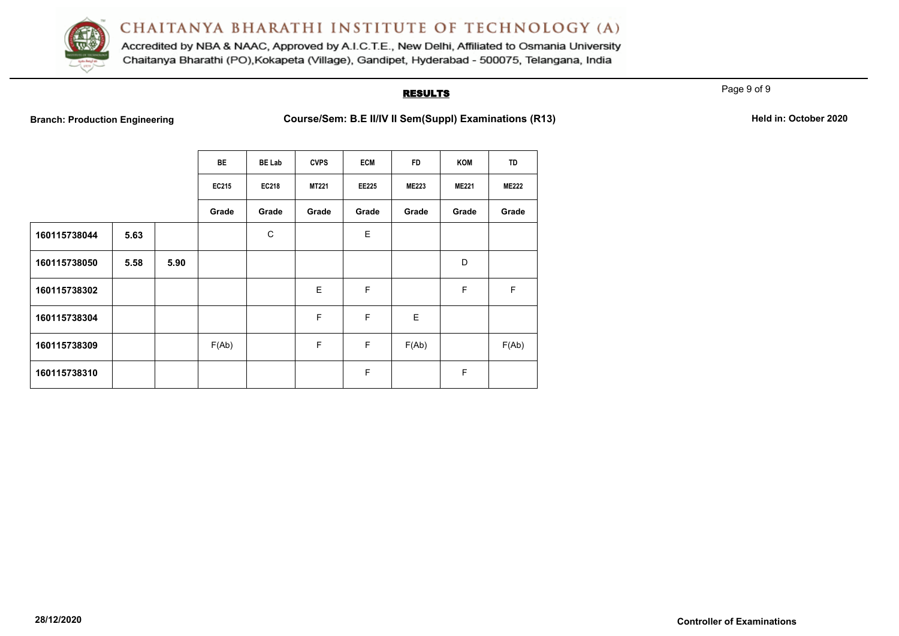

Accredited by NBA & NAAC, Approved by A.I.C.T.E., New Delhi, Affiliated to Osmania University Chaitanya Bharathi (PO), Kokapeta (Village), Gandipet, Hyderabad - 500075, Telangana, India

## **RESULTS**

Page 9 of 9

|  | <b>Branch: Production Engineering</b> |
|--|---------------------------------------|
|  |                                       |

**Branch: Production Engineering Engineering Course/Sem: B.E II/IV II Sem(Suppl) Examinations (R13) Held in: October 2020** 

|              |      |      | BE    | <b>BE Lab</b> | <b>CVPS</b>  | <b>ECM</b>   | <b>FD</b>    | KOM          | TD           |
|--------------|------|------|-------|---------------|--------------|--------------|--------------|--------------|--------------|
|              |      |      | EC215 | <b>EC218</b>  | <b>MT221</b> | <b>EE225</b> | <b>ME223</b> | <b>ME221</b> | <b>ME222</b> |
|              |      |      | Grade | Grade         | Grade        | Grade        | Grade        | Grade        | Grade        |
| 160115738044 | 5.63 |      |       | C             |              | E            |              |              |              |
| 160115738050 | 5.58 | 5.90 |       |               |              |              |              | D            |              |
| 160115738302 |      |      |       |               | E            | F            |              | F            | F            |
| 160115738304 |      |      |       |               | F            | F            | E            |              |              |
| 160115738309 |      |      | F(Ab) |               | F            | F            | F(Ab)        |              | F(Ab)        |
| 160115738310 |      |      |       |               |              | F            |              | F            |              |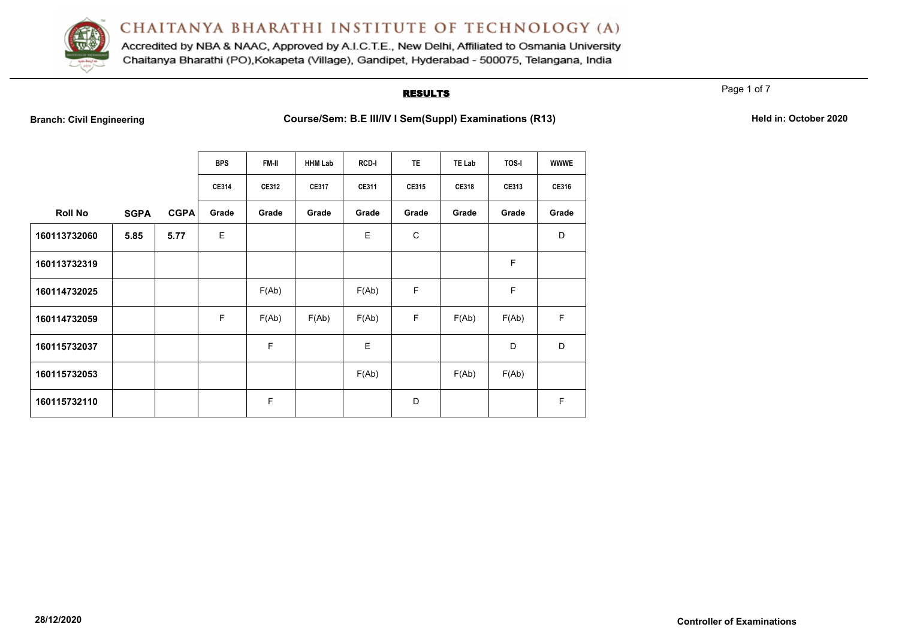

Accredited by NBA & NAAC, Approved by A.I.C.T.E., New Delhi, Affiliated to Osmania University Chaitanya Bharathi (PO), Kokapeta (Village), Gandipet, Hyderabad - 500075, Telangana, India

### **RESULTS**

Page 1 of 7

**Branch: Civil Engineering <b>Course/Sem: B.E III/IV I Sem(Suppl) Examinations (R13)** Held in: October 2020

|                |             |             | <b>BPS</b>   | <b>FM-II</b> | <b>HHM Lab</b> | RCD-I        | <b>TE</b>   | <b>TE Lab</b> | TOS-I        | <b>WWWE</b>  |
|----------------|-------------|-------------|--------------|--------------|----------------|--------------|-------------|---------------|--------------|--------------|
|                |             |             | <b>CE314</b> | CE312        | <b>CE317</b>   | <b>CE311</b> | CE315       | <b>CE318</b>  | <b>CE313</b> | <b>CE316</b> |
| <b>Roll No</b> | <b>SGPA</b> | <b>CGPA</b> | Grade        | Grade        | Grade          | Grade        | Grade       | Grade         | Grade        | Grade        |
| 160113732060   | 5.85        | 5.77        | E            |              |                | $\mathsf E$  | $\mathbf C$ |               |              | D            |
| 160113732319   |             |             |              |              |                |              |             |               | F            |              |
| 160114732025   |             |             |              | F(Ab)        |                | F(Ab)        | F           |               | F            |              |
| 160114732059   |             |             | F            | F(Ab)        | F(Ab)          | F(Ab)        | F           | F(Ab)         | F(Ab)        | $\mathsf F$  |
| 160115732037   |             |             |              | F            |                | E            |             |               | D            | D            |
| 160115732053   |             |             |              |              |                | F(Ab)        |             | F(Ab)         | F(Ab)        |              |
| 160115732110   |             |             |              | F            |                |              | D           |               |              | F            |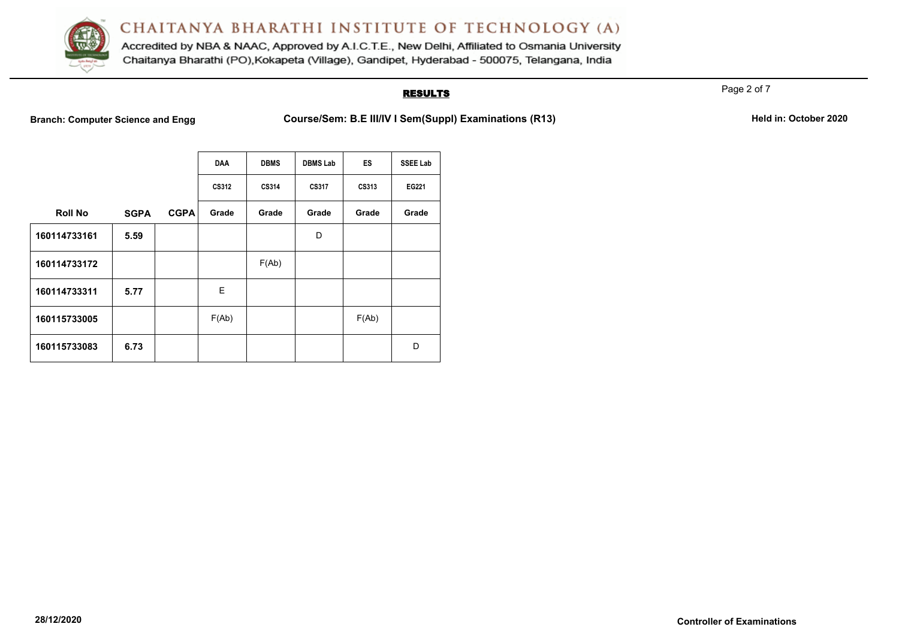

Accredited by NBA & NAAC, Approved by A.I.C.T.E., New Delhi, Affiliated to Osmania University Chaitanya Bharathi (PO), Kokapeta (Village), Gandipet, Hyderabad - 500075, Telangana, India

## **RESULTS**

Page 2 of 7

**Branch: Computer Science and Engg Course/Sem: B.E III/IV I Sem(Suppl) Examinations (R13)** Held in: October 2020

|                |             |             | <b>DAA</b> | <b>DBMS</b> | <b>DBMS Lab</b> | ES    | <b>SSEE Lab</b> |
|----------------|-------------|-------------|------------|-------------|-----------------|-------|-----------------|
|                |             |             | CS312      | CS314       | CS317           | CS313 | EG221           |
| <b>Roll No</b> | <b>SGPA</b> | <b>CGPA</b> | Grade      | Grade       | Grade           | Grade | Grade           |
| 160114733161   | 5.59        |             |            |             | D               |       |                 |
| 160114733172   |             |             |            | F(Ab)       |                 |       |                 |
| 160114733311   | 5.77        |             | E          |             |                 |       |                 |
| 160115733005   |             |             | F(Ab)      |             |                 | F(Ab) |                 |
| 160115733083   | 6.73        |             |            |             |                 |       | D               |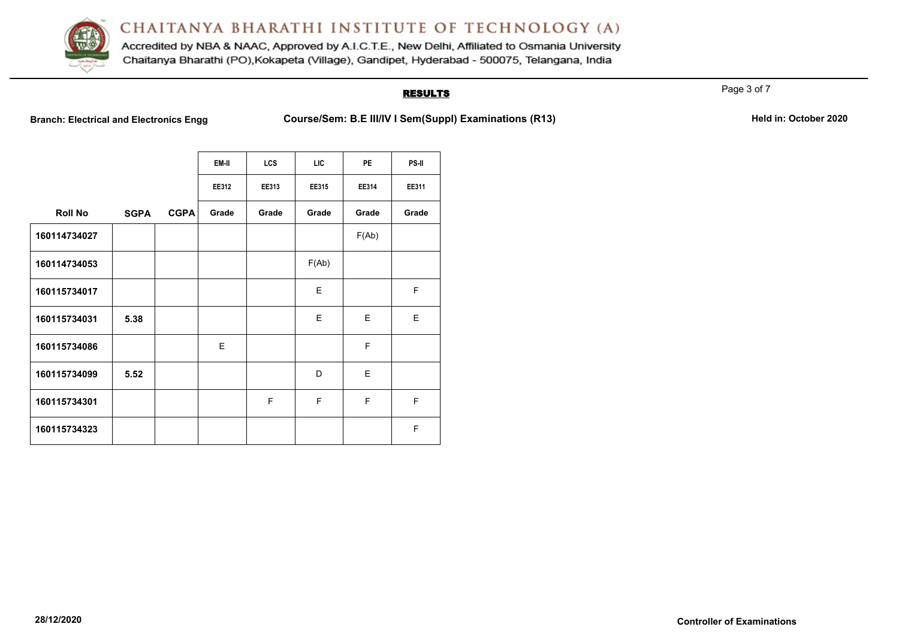

Accredited by NBA & NAAC, Approved by A.I.C.T.E., New Delhi, Affiliated to Osmania University Chaitanya Bharathi (PO), Kokapeta (Village), Gandipet, Hyderabad - 500075, Telangana, India

## **RESULTS**

Page 3 of 7

**Branch: Electrical and Electronics Engg Course/Sem: B.E III/IV I Sem(Suppl) Examinations (R13)** Held in: October 2020

|                |             |             | EM-II | <b>LCS</b> | <b>LIC</b> | <b>PE</b> | PS-II |
|----------------|-------------|-------------|-------|------------|------------|-----------|-------|
|                |             |             | EE312 | EE313      | EE315      | EE314     | EE311 |
| <b>Roll No</b> | <b>SGPA</b> | <b>CGPA</b> | Grade | Grade      | Grade      | Grade     | Grade |
| 160114734027   |             |             |       |            |            | F(Ab)     |       |
| 160114734053   |             |             |       |            | F(Ab)      |           |       |
| 160115734017   |             |             |       |            | E          |           | F     |
| 160115734031   | 5.38        |             |       |            | E          | E         | E     |
| 160115734086   |             |             | E     |            |            | F         |       |
| 160115734099   | 5.52        |             |       |            | D          | E         |       |
| 160115734301   |             |             |       | F          | F          | F         | F     |
| 160115734323   |             |             |       |            |            |           | F     |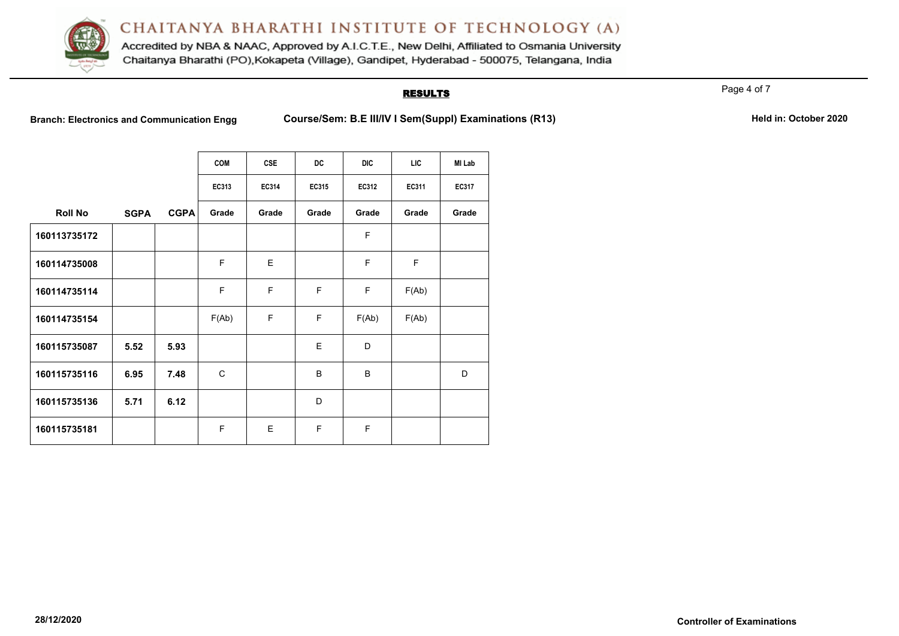

Accredited by NBA & NAAC, Approved by A.I.C.T.E., New Delhi, Affiliated to Osmania University Chaitanya Bharathi (PO), Kokapeta (Village), Gandipet, Hyderabad - 500075, Telangana, India

#### **RESULTS**

Page 4 of 7

Branch: Electronics and Communication Engg Course/Sem: B.E III/IV I Sem(Suppl) Examinations (R13) Held in: October 2020

|                |             |             | <b>COM</b> | <b>CSE</b> | <b>DC</b> | <b>DIC</b> | <b>LIC</b> | MI Lab       |
|----------------|-------------|-------------|------------|------------|-----------|------------|------------|--------------|
|                |             |             | EC313      | EC314      | EC315     | EC312      | EC311      | <b>EC317</b> |
| <b>Roll No</b> | <b>SGPA</b> | <b>CGPA</b> | Grade      | Grade      | Grade     | Grade      | Grade      | Grade        |
| 160113735172   |             |             |            |            |           | F          |            |              |
| 160114735008   |             |             | F          | E          |           | F          | F          |              |
| 160114735114   |             |             | F          | F          | F         | F          | F(Ab)      |              |
| 160114735154   |             |             | F(Ab)      | F          | F         | F(Ab)      | F(Ab)      |              |
| 160115735087   | 5.52        | 5.93        |            |            | E         | D          |            |              |
| 160115735116   | 6.95        | 7.48        | C          |            | B         | B          |            | D            |
| 160115735136   | 5.71        | 6.12        |            |            | D         |            |            |              |
| 160115735181   |             |             | F          | E          | F         | F          |            |              |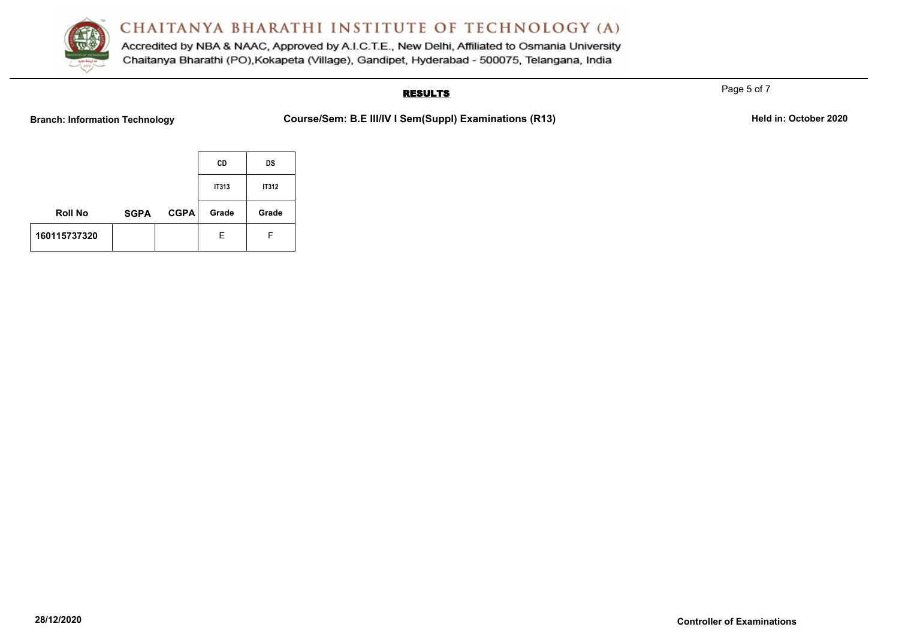

Accredited by NBA & NAAC, Approved by A.I.C.T.E., New Delhi, Affiliated to Osmania University Chaitanya Bharathi (PO), Kokapeta (Village), Gandipet, Hyderabad - 500075, Telangana, India

## **RESULTS**

**Branch: Information Technology <b>Course/Sem: B.E III/IV I Sem(Suppl) Examinations (R13)** Held in: October 2020

|                |             |             | CD    | <b>DS</b>    |
|----------------|-------------|-------------|-------|--------------|
|                |             |             | IT313 | <b>IT312</b> |
| <b>Roll No</b> | <b>SGPA</b> | <b>CGPA</b> | Grade | Grade        |
| 160115737320   |             |             | Е     | F            |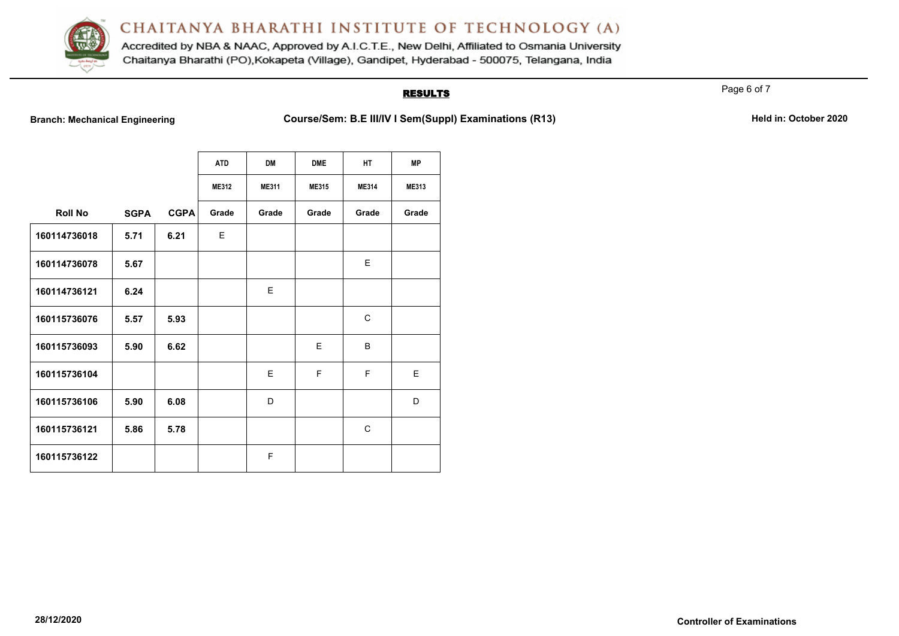

Accredited by NBA & NAAC, Approved by A.I.C.T.E., New Delhi, Affiliated to Osmania University Chaitanya Bharathi (PO), Kokapeta (Village), Gandipet, Hyderabad - 500075, Telangana, India

## **RESULTS**

Page 6 of 7

**Branch: Mechanical Engineering <b>Course/Sem: B.E III/IV I Sem(Suppl) Examinations (R13)** Held in: October 2020

|                |             |             | <b>ATD</b><br>ME312 | <b>DM</b><br><b>ME311</b> | <b>DME</b><br>ME315 | <b>HT</b><br><b>ME314</b> | <b>MP</b><br><b>ME313</b> |
|----------------|-------------|-------------|---------------------|---------------------------|---------------------|---------------------------|---------------------------|
| <b>Roll No</b> | <b>SGPA</b> | <b>CGPA</b> | Grade               | Grade                     | Grade               | Grade                     | Grade                     |
| 160114736018   | 5.71        | 6.21        | E                   |                           |                     |                           |                           |
| 160114736078   | 5.67        |             |                     |                           |                     | E                         |                           |
| 160114736121   | 6.24        |             |                     | E                         |                     |                           |                           |
| 160115736076   | 5.57        | 5.93        |                     |                           |                     | C                         |                           |
| 160115736093   | 5.90        | 6.62        |                     |                           | E                   | B                         |                           |
| 160115736104   |             |             |                     | E                         | F                   | F                         | E                         |
| 160115736106   | 5.90        | 6.08        |                     | D                         |                     |                           | D                         |
| 160115736121   | 5.86        | 5.78        |                     |                           |                     | C                         |                           |
| 160115736122   |             |             |                     | F                         |                     |                           |                           |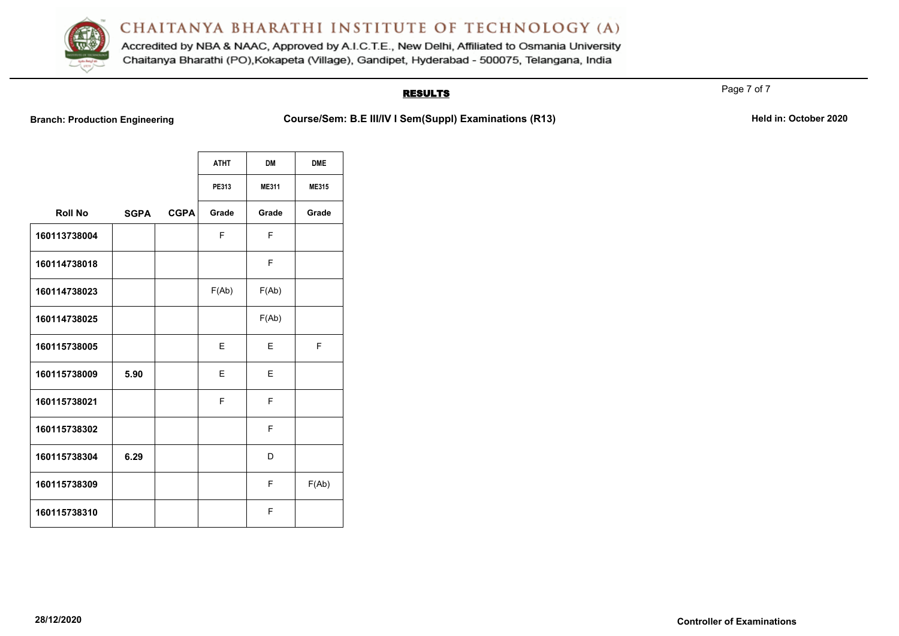

Accredited by NBA & NAAC, Approved by A.I.C.T.E., New Delhi, Affiliated to Osmania University Chaitanya Bharathi (PO), Kokapeta (Village), Gandipet, Hyderabad - 500075, Telangana, India

## **RESULTS**

**Branch: Production Engineering <b>Course/Sem: B.E III/IV I Sem(Suppl) Examinations (R13)** Held in: October 2020

|                |             |             | <b>ATHT</b> | <b>DM</b>    | <b>DME</b>   |
|----------------|-------------|-------------|-------------|--------------|--------------|
|                |             |             | PE313       | <b>ME311</b> | <b>ME315</b> |
| <b>Roll No</b> | <b>SGPA</b> | <b>CGPA</b> | Grade       | Grade        | Grade        |
| 160113738004   |             |             | F           | F            |              |
| 160114738018   |             |             |             | F            |              |
| 160114738023   |             |             | F(Ab)       | F(Ab)        |              |
| 160114738025   |             |             |             | F(Ab)        |              |
| 160115738005   |             |             | Е           | Е            | F            |
| 160115738009   | 5.90        |             | Е           | E            |              |
| 160115738021   |             |             | F           | F            |              |
| 160115738302   |             |             |             | F            |              |
| 160115738304   | 6.29        |             |             | D            |              |
| 160115738309   |             |             |             | F            | F(Ab)        |
| 160115738310   |             |             |             | F            |              |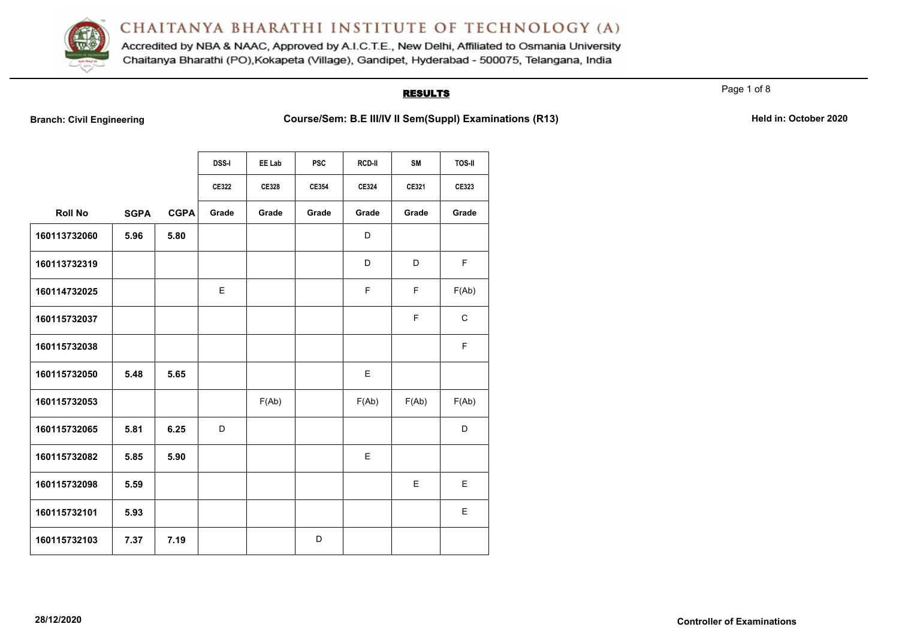

Accredited by NBA & NAAC, Approved by A.I.C.T.E., New Delhi, Affiliated to Osmania University Chaitanya Bharathi (PO), Kokapeta (Village), Gandipet, Hyderabad - 500075, Telangana, India

### **RESULTS**

Page 1 of 8

**Branch: Civil Engineering <b>Course/Sem: B.E III/IV II Sem(Suppl) Examinations (R13)** Held in: October 2020

|                |             |             | <b>DSS-I</b> | EE Lab | <b>PSC</b> | <b>RCD-II</b> | <b>SM</b> | <b>TOS-II</b> |
|----------------|-------------|-------------|--------------|--------|------------|---------------|-----------|---------------|
|                |             |             | CE322        | CE328  | CE354      | <b>CE324</b>  | CE321     | CE323         |
| <b>Roll No</b> | <b>SGPA</b> | <b>CGPA</b> | Grade        | Grade  | Grade      | Grade         | Grade     | Grade         |
| 160113732060   | 5.96        | 5.80        |              |        |            | D             |           |               |
| 160113732319   |             |             |              |        |            | D             | D         | F.            |
| 160114732025   |             |             | E            |        |            | F             | F         | F(Ab)         |
| 160115732037   |             |             |              |        |            |               | F         | $\mathsf{C}$  |
| 160115732038   |             |             |              |        |            |               |           | F             |
| 160115732050   | 5.48        | 5.65        |              |        |            | E             |           |               |
| 160115732053   |             |             |              | F(Ab)  |            | F(Ab)         | F(Ab)     | F(Ab)         |
| 160115732065   | 5.81        | 6.25        | D            |        |            |               |           | D             |
| 160115732082   | 5.85        | 5.90        |              |        |            | E             |           |               |
| 160115732098   | 5.59        |             |              |        |            |               | E         | E.            |
| 160115732101   | 5.93        |             |              |        |            |               |           | E.            |
| 160115732103   | 7.37        | 7.19        |              |        | D          |               |           |               |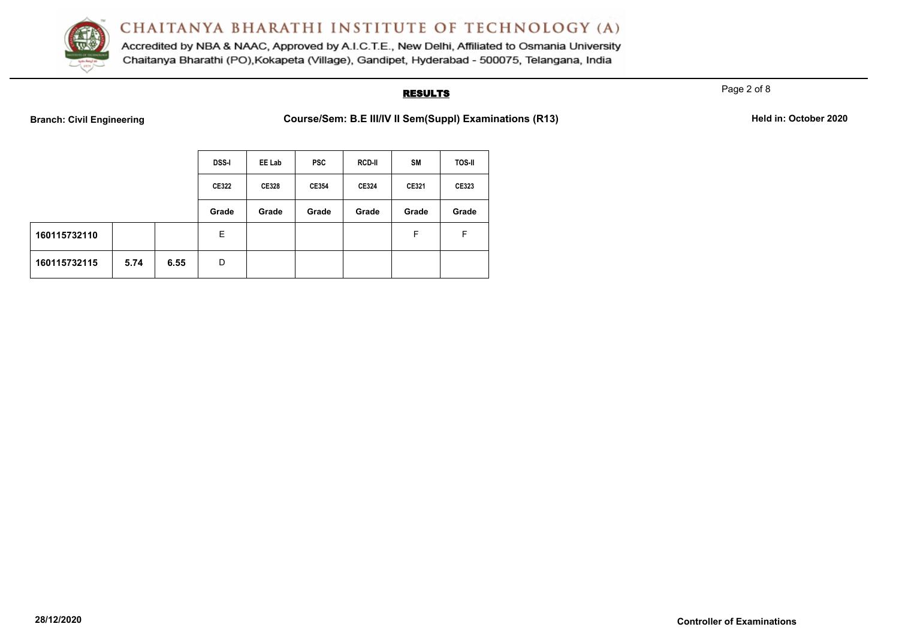

Accredited by NBA & NAAC, Approved by A.I.C.T.E., New Delhi, Affiliated to Osmania University Chaitanya Bharathi (PO), Kokapeta (Village), Gandipet, Hyderabad - 500075, Telangana, India

### **RESULTS**

Page 2 of 8

**Branch: Civil Engineering <b>Course/Sem: B.E III/IV II Sem(Suppl) Examinations (R13)** Held in: October 2020

|              |      |              | <b>DSS-I</b> | EE Lab | <b>PSC</b> | <b>RCD-II</b> | <b>SM</b> | <b>TOS-II</b> |
|--------------|------|--------------|--------------|--------|------------|---------------|-----------|---------------|
|              |      | <b>CE322</b> | <b>CE328</b> | CE354  | CE324      | CE321         | CE323     |               |
|              |      |              | Grade        | Grade  | Grade      | Grade         | Grade     | Grade         |
| 160115732110 |      |              | Е            |        |            |               | F         | F             |
| 160115732115 | 5.74 | 6.55         | D            |        |            |               |           |               |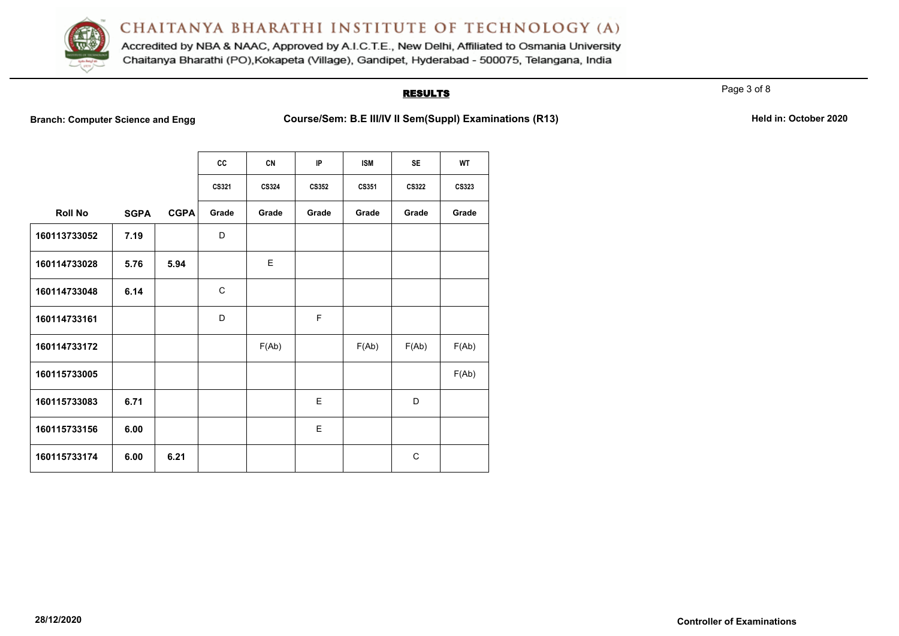

Accredited by NBA & NAAC, Approved by A.I.C.T.E., New Delhi, Affiliated to Osmania University Chaitanya Bharathi (PO), Kokapeta (Village), Gandipet, Hyderabad - 500075, Telangana, India

### **RESULTS**

Page 3 of 8

**Branch: Computer Science and Engg Course/Sem: B.E III/IV II Sem(Suppl) Examinations (R13)** Held in: October 2020

|                |             |             | cc           | <b>CN</b>    | IP           | <b>ISM</b> | <b>SE</b>    | <b>WT</b>    |
|----------------|-------------|-------------|--------------|--------------|--------------|------------|--------------|--------------|
|                |             |             | CS321        | <b>CS324</b> | <b>CS352</b> | CS351      | CS322        | <b>CS323</b> |
| <b>Roll No</b> | <b>SGPA</b> | <b>CGPA</b> | Grade        | Grade        | Grade        | Grade      | Grade        | Grade        |
| 160113733052   | 7.19        |             | D            |              |              |            |              |              |
| 160114733028   | 5.76        | 5.94        |              | E            |              |            |              |              |
| 160114733048   | 6.14        |             | $\mathsf{C}$ |              |              |            |              |              |
| 160114733161   |             |             | D            |              | F            |            |              |              |
| 160114733172   |             |             |              | F(Ab)        |              | F(Ab)      | F(Ab)        | F(Ab)        |
| 160115733005   |             |             |              |              |              |            |              | F(Ab)        |
| 160115733083   | 6.71        |             |              |              | E            |            | D            |              |
| 160115733156   | 6.00        |             |              |              | E            |            |              |              |
| 160115733174   | 6.00        | 6.21        |              |              |              |            | $\mathsf{C}$ |              |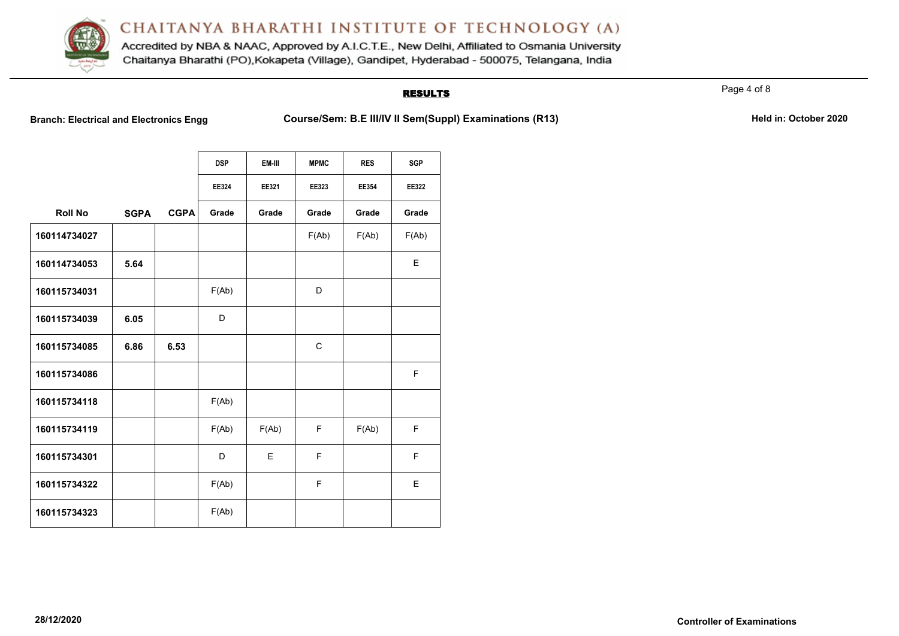

Accredited by NBA & NAAC, Approved by A.I.C.T.E., New Delhi, Affiliated to Osmania University Chaitanya Bharathi (PO), Kokapeta (Village), Gandipet, Hyderabad - 500075, Telangana, India

### **RESULTS**

Page 4 of 8

**Branch: Electrical and Electronics Engg Course/Sem: B.E III/IV II Sem(Suppl) Examinations (R13)** Held in: October 2020

|                |             |             | <b>DSP</b> | EM-III | <b>MPMC</b>  | <b>RES</b> | SGP   |
|----------------|-------------|-------------|------------|--------|--------------|------------|-------|
|                |             |             | EE324      | EE321  | EE323        | EE354      | EE322 |
| <b>Roll No</b> | <b>SGPA</b> | <b>CGPA</b> | Grade      | Grade  | Grade        | Grade      | Grade |
| 160114734027   |             |             |            |        | F(Ab)        | F(Ab)      | F(Ab) |
| 160114734053   | 5.64        |             |            |        |              |            | E     |
| 160115734031   |             |             | F(Ab)      |        | D            |            |       |
| 160115734039   | 6.05        |             | D          |        |              |            |       |
| 160115734085   | 6.86        | 6.53        |            |        | $\mathsf{C}$ |            |       |
| 160115734086   |             |             |            |        |              |            | F     |
| 160115734118   |             |             | F(Ab)      |        |              |            |       |
| 160115734119   |             |             | F(Ab)      | F(Ab)  | F            | F(Ab)      | F     |
| 160115734301   |             |             | D          | E      | F            |            | F     |
| 160115734322   |             |             | F(Ab)      |        | F            |            | E     |
| 160115734323   |             |             | F(Ab)      |        |              |            |       |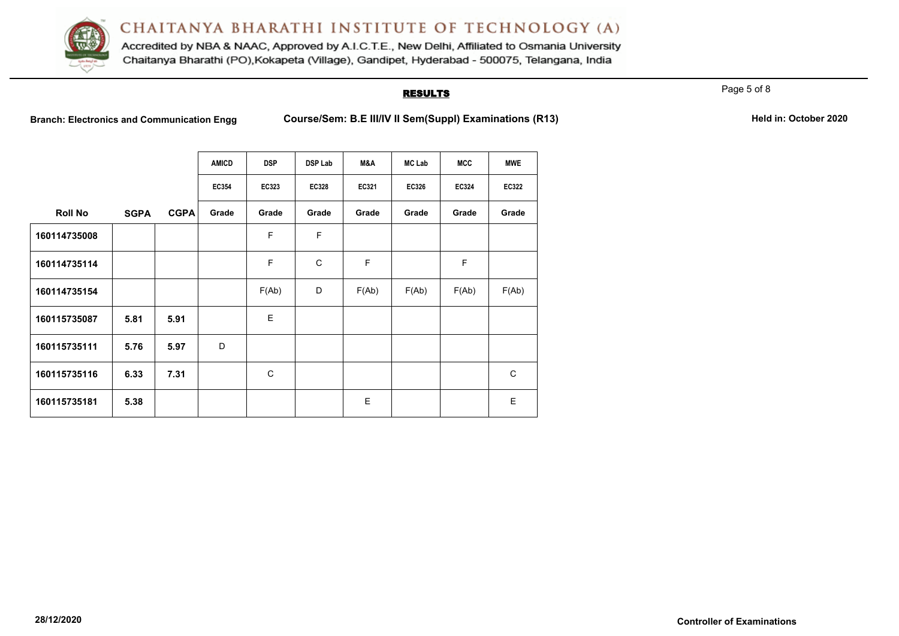

Accredited by NBA & NAAC, Approved by A.I.C.T.E., New Delhi, Affiliated to Osmania University Chaitanya Bharathi (PO), Kokapeta (Village), Gandipet, Hyderabad - 500075, Telangana, India

## **RESULTS**

Page 5 of 8

Branch: Electronics and Communication Engg Course/Sem: B.E III/IV II Sem(Suppl) Examinations (R13) Held in: October 2020

|                |             |             | AMICD | <b>DSP</b>   | <b>DSP Lab</b> | M&A   | <b>MC Lab</b> | MCC   | <b>MWE</b>   |
|----------------|-------------|-------------|-------|--------------|----------------|-------|---------------|-------|--------------|
|                |             |             | EC354 | EC323        | <b>EC328</b>   | EC321 | EC326         | EC324 | <b>EC322</b> |
| <b>Roll No</b> | <b>SGPA</b> | <b>CGPA</b> | Grade | Grade        | Grade          | Grade | Grade         | Grade | Grade        |
| 160114735008   |             |             |       | F            | F              |       |               |       |              |
| 160114735114   |             |             |       | F            | $\mathsf{C}$   | F     |               | F     |              |
| 160114735154   |             |             |       | F(Ab)        | D              | F(Ab) | F(Ab)         | F(Ab) | F(Ab)        |
| 160115735087   | 5.81        | 5.91        |       | E            |                |       |               |       |              |
| 160115735111   | 5.76        | 5.97        | D     |              |                |       |               |       |              |
| 160115735116   | 6.33        | 7.31        |       | $\mathsf{C}$ |                |       |               |       | $\mathsf{C}$ |
| 160115735181   | 5.38        |             |       |              |                | E     |               |       | E            |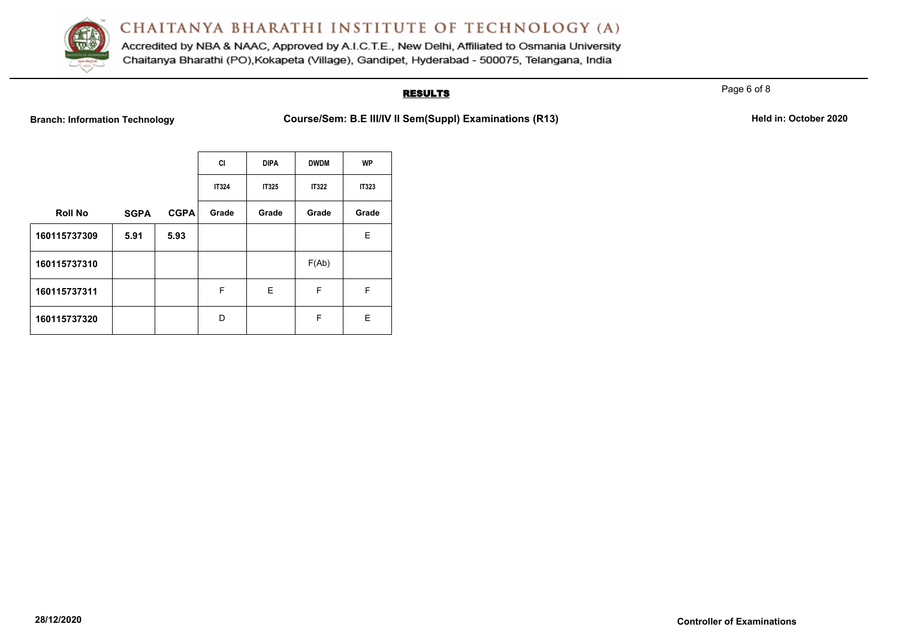

Accredited by NBA & NAAC, Approved by A.I.C.T.E., New Delhi, Affiliated to Osmania University Chaitanya Bharathi (PO), Kokapeta (Village), Gandipet, Hyderabad - 500075, Telangana, India

## **RESULTS**

**Branch: Information Technology <b>Course/Sem: B.E III/IV II Sem(Suppl) Examinations (R13)** Held in: October 2020

|                |             |             | СI           | <b>DIPA</b>  | <b>DWDM</b>  | <b>WP</b>    |
|----------------|-------------|-------------|--------------|--------------|--------------|--------------|
|                |             |             | <b>IT324</b> | <b>IT325</b> | <b>IT322</b> | <b>IT323</b> |
| <b>Roll No</b> | <b>SGPA</b> | <b>CGPA</b> | Grade        | Grade        | Grade        | Grade        |
| 160115737309   | 5.91        | 5.93        |              |              |              | Е            |
| 160115737310   |             |             |              |              | F(Ab)        |              |
| 160115737311   |             |             | F            | Е            | F            | F            |
| 160115737320   |             |             | D            |              | F            | Е            |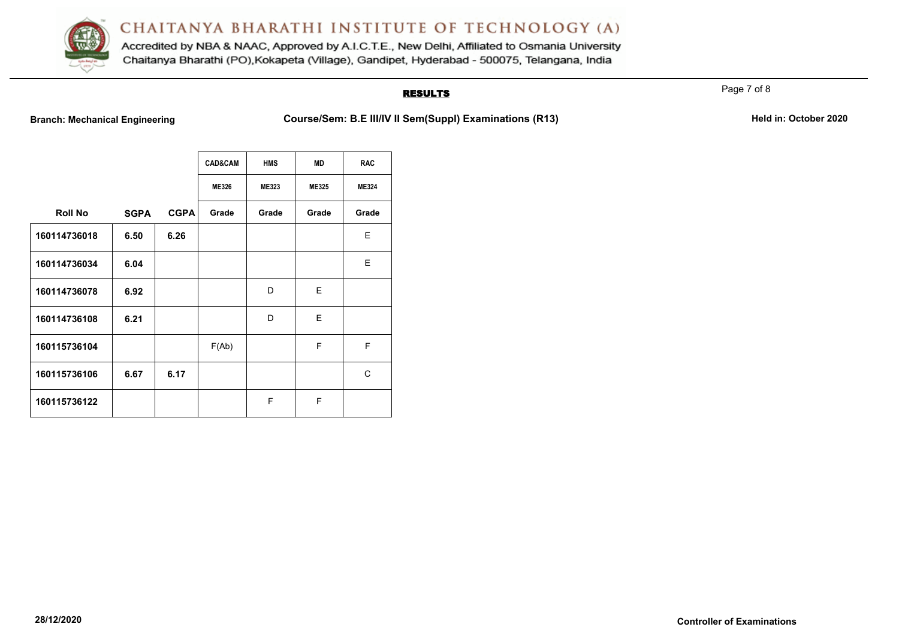

Accredited by NBA & NAAC, Approved by A.I.C.T.E., New Delhi, Affiliated to Osmania University Chaitanya Bharathi (PO), Kokapeta (Village), Gandipet, Hyderabad - 500075, Telangana, India

## **RESULTS**

**Branch: Mechanical Engineering <b>Course/Sem: B.E III/IV II Sem(Suppl) Examinations (R13)** Held in: October 2020

|                |             |             | <b>CAD&amp;CAM</b> | <b>HMS</b>   | <b>MD</b> | <b>RAC</b>   |
|----------------|-------------|-------------|--------------------|--------------|-----------|--------------|
|                |             |             | ME326              | <b>ME323</b> | ME325     | <b>ME324</b> |
| <b>Roll No</b> | <b>SGPA</b> | <b>CGPA</b> | Grade              | Grade        | Grade     | Grade        |
| 160114736018   | 6.50        | 6.26        |                    |              |           | E            |
| 160114736034   | 6.04        |             |                    |              |           | E            |
| 160114736078   | 6.92        |             |                    | D            | E.        |              |
| 160114736108   | 6.21        |             |                    | D            | E         |              |
| 160115736104   |             |             | F(Ab)              |              | F         | F            |
| 160115736106   | 6.67        | 6.17        |                    |              |           | C            |
| 160115736122   |             |             |                    | F            | F         |              |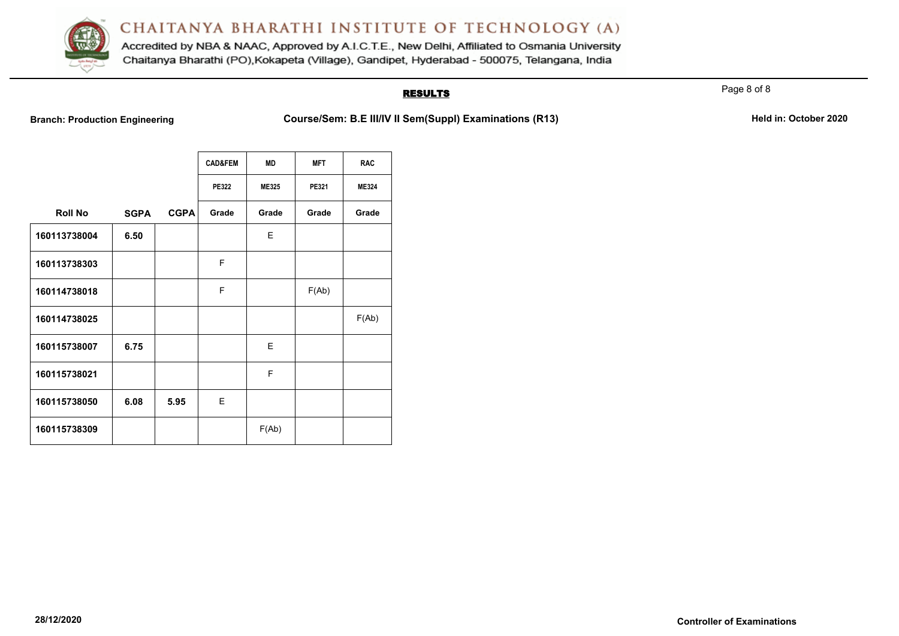

Accredited by NBA & NAAC, Approved by A.I.C.T.E., New Delhi, Affiliated to Osmania University Chaitanya Bharathi (PO), Kokapeta (Village), Gandipet, Hyderabad - 500075, Telangana, India

## **RESULTS**

**Branch: Production Engineering <b>Course/Sem: B.E III/IV II Sem(Suppl) Examinations (R13)** Held in: October 2020

|                |             |             | <b>CAD&amp;FEM</b> | <b>MD</b> | <b>MFT</b> | <b>RAC</b>   |
|----------------|-------------|-------------|--------------------|-----------|------------|--------------|
|                |             |             | <b>PE322</b>       | ME325     | PE321      | <b>ME324</b> |
| <b>Roll No</b> | <b>SGPA</b> | <b>CGPA</b> | Grade              | Grade     | Grade      | Grade        |
| 160113738004   | 6.50        |             |                    | E         |            |              |
| 160113738303   |             |             | F                  |           |            |              |
| 160114738018   |             |             | F                  |           | F(Ab)      |              |
| 160114738025   |             |             |                    |           |            | F(Ab)        |
| 160115738007   | 6.75        |             |                    | E         |            |              |
| 160115738021   |             |             |                    | F         |            |              |
| 160115738050   | 6.08        | 5.95        | E                  |           |            |              |
| 160115738309   |             |             |                    | F(Ab)     |            |              |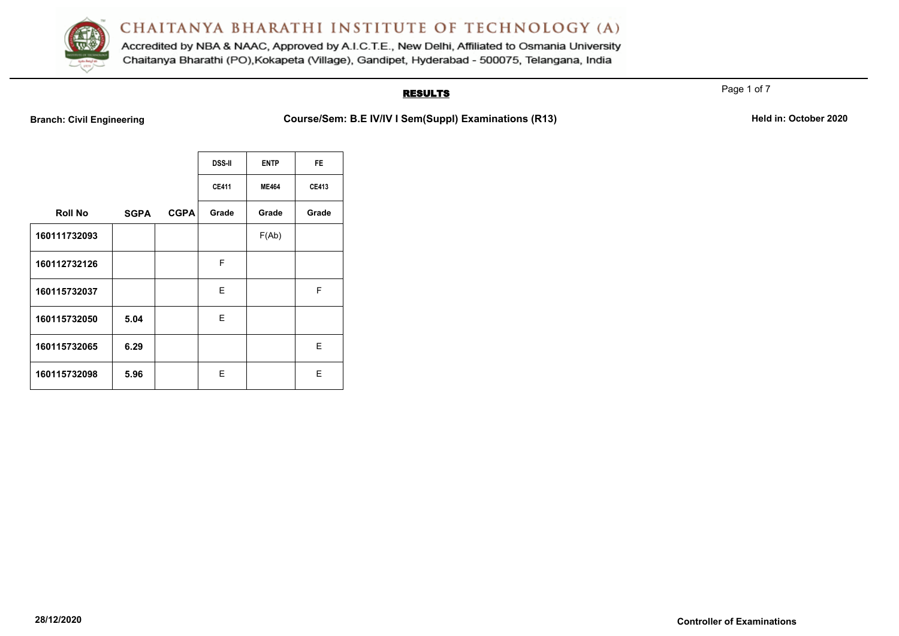

Accredited by NBA & NAAC, Approved by A.I.C.T.E., New Delhi, Affiliated to Osmania University Chaitanya Bharathi (PO), Kokapeta (Village), Gandipet, Hyderabad - 500075, Telangana, India

## **RESULTS**

**Branch: Civil Engineering <b>Course/Sem: B.E IV/IV I Sem(Suppl) Examinations (R13)** Held in: October 2020

|                |             |             | <b>DSS-II</b> | <b>ENTP</b>  | <b>FE</b>    |
|----------------|-------------|-------------|---------------|--------------|--------------|
|                |             |             | <b>CE411</b>  | <b>ME464</b> | <b>CE413</b> |
| <b>Roll No</b> | <b>SGPA</b> | <b>CGPA</b> | Grade         | Grade        | Grade        |
| 160111732093   |             |             |               | F(Ab)        |              |
| 160112732126   |             |             | F             |              |              |
| 160115732037   |             |             | E             |              | F            |
| 160115732050   | 5.04        |             | E             |              |              |
| 160115732065   | 6.29        |             |               |              | E            |
| 160115732098   | 5.96        |             | E.            |              | E            |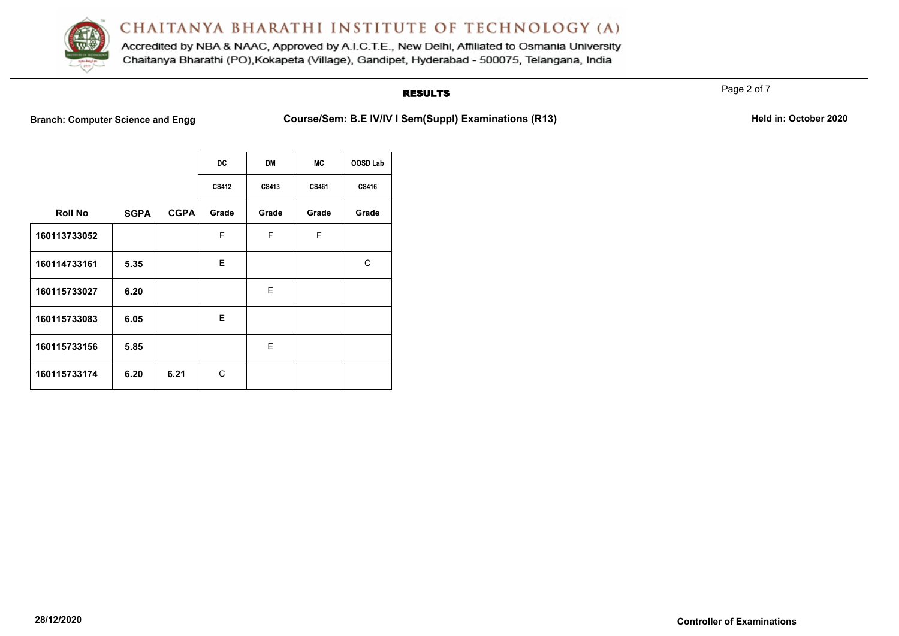

Accredited by NBA & NAAC, Approved by A.I.C.T.E., New Delhi, Affiliated to Osmania University Chaitanya Bharathi (PO), Kokapeta (Village), Gandipet, Hyderabad - 500075, Telangana, India

## **RESULTS**

**Branch: Computer Science and Engg Course/Sem: B.E IV/IV I Sem(Suppl) Examinations (R13)** Held in: October 2020

|                |             |             | DC.   | <b>DM</b> | МC    | OOSD Lab     |
|----------------|-------------|-------------|-------|-----------|-------|--------------|
|                |             |             | CS412 | CS413     | CS461 | <b>CS416</b> |
| <b>Roll No</b> | <b>SGPA</b> | <b>CGPA</b> | Grade | Grade     | Grade | Grade        |
| 160113733052   |             |             | F     | F         | F     |              |
| 160114733161   | 5.35        |             | E.    |           |       | C            |
| 160115733027   | 6.20        |             |       | E         |       |              |
| 160115733083   | 6.05        |             | E     |           |       |              |
| 160115733156   | 5.85        |             |       | E         |       |              |
| 160115733174   | 6.20        | 6.21        | C     |           |       |              |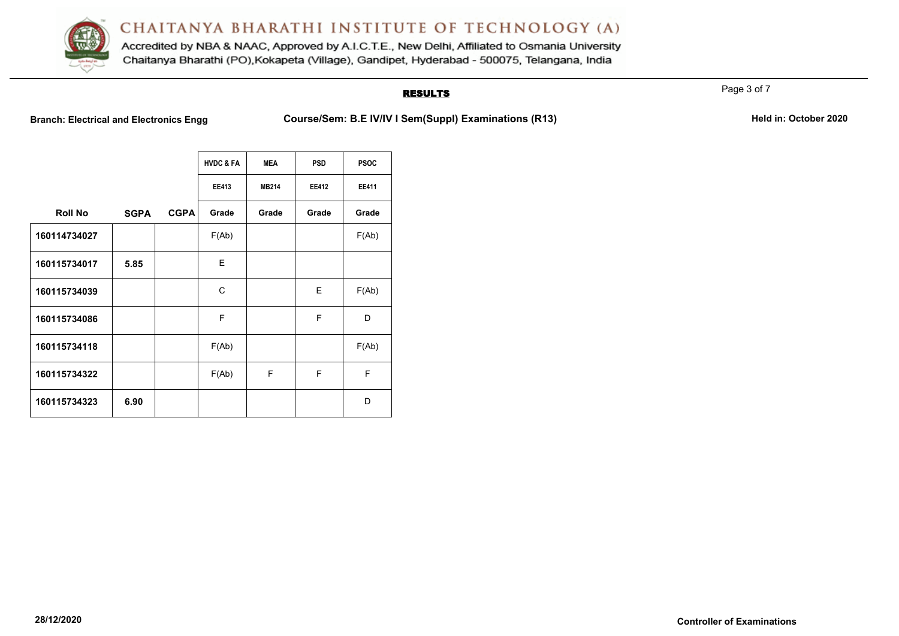

Accredited by NBA & NAAC, Approved by A.I.C.T.E., New Delhi, Affiliated to Osmania University Chaitanya Bharathi (PO), Kokapeta (Village), Gandipet, Hyderabad - 500075, Telangana, India

## **RESULTS**

Branch: Electrical and Electronics Engg **Course/Sem: B.E IV/IV I Sem(Suppl) Examinations (R13)** Held in: October 2020

|                |             |             | <b>HVDC &amp; FA</b> | <b>MEA</b>   | <b>PSD</b>   | <b>PSOC</b>  |
|----------------|-------------|-------------|----------------------|--------------|--------------|--------------|
|                |             |             | <b>EE413</b>         | <b>MB214</b> | <b>EE412</b> | <b>EE411</b> |
| <b>Roll No</b> | <b>SGPA</b> | <b>CGPA</b> | Grade                | Grade        | Grade        | Grade        |
| 160114734027   |             |             | F(Ab)                |              |              | F(Ab)        |
| 160115734017   | 5.85        |             | E                    |              |              |              |
| 160115734039   |             |             | C                    |              | E            | F(Ab)        |
| 160115734086   |             |             | F                    |              | F            | D            |
| 160115734118   |             |             | F(Ab)                |              |              | F(Ab)        |
| 160115734322   |             |             | F(Ab)                | F            | F            | F            |
| 160115734323   | 6.90        |             |                      |              |              | D            |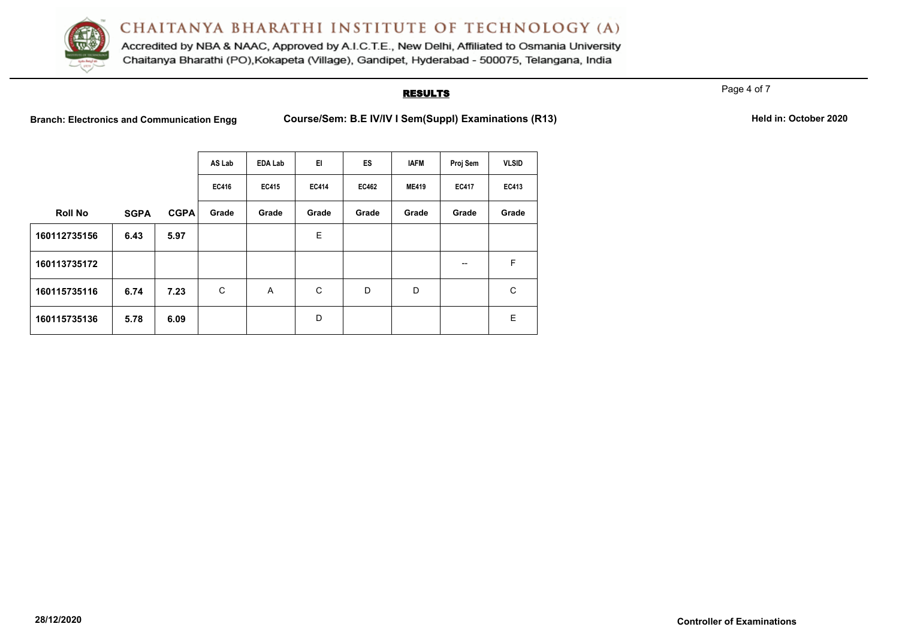

Accredited by NBA & NAAC, Approved by A.I.C.T.E., New Delhi, Affiliated to Osmania University Chaitanya Bharathi (PO), Kokapeta (Village), Gandipet, Hyderabad - 500075, Telangana, India

### **RESULTS**

Page 4 of 7

**Branch: Electronics and Communication Engg Course/Sem: B.E IV/IV I Sem(Suppl) Examinations (R13)** Held in: October 2020

|                |             |             | AS Lab | <b>EDA Lab</b> | E1           | ES    | <b>IAFM</b>  | Proj Sem     | <b>VLSID</b> |
|----------------|-------------|-------------|--------|----------------|--------------|-------|--------------|--------------|--------------|
|                |             |             | EC416  | EC415          | <b>EC414</b> | EC462 | <b>ME419</b> | <b>EC417</b> | EC413        |
| <b>Roll No</b> | <b>SGPA</b> | <b>CGPA</b> | Grade  | Grade          | Grade        | Grade | Grade        | Grade        | Grade        |
| 160112735156   | 6.43        | 5.97        |        |                | E            |       |              |              |              |
| 160113735172   |             |             |        |                |              |       |              | --           | F            |
| 160115735116   | 6.74        | 7.23        | C      | A              | C            | D     | D            |              | C            |
| 160115735136   | 5.78        | 6.09        |        |                | D            |       |              |              | E            |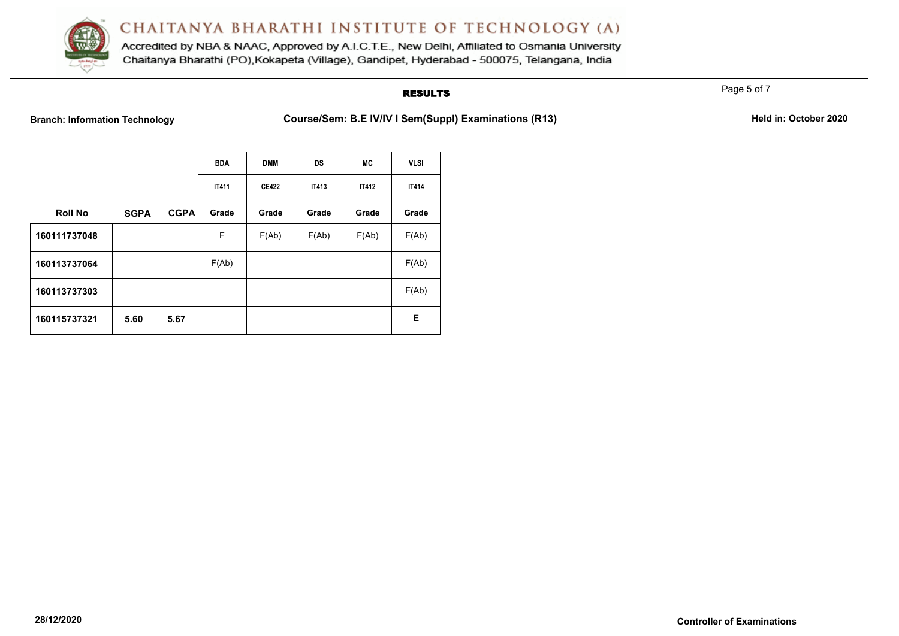

Accredited by NBA & NAAC, Approved by A.I.C.T.E., New Delhi, Affiliated to Osmania University Chaitanya Bharathi (PO), Kokapeta (Village), Gandipet, Hyderabad - 500075, Telangana, India

## **RESULTS**

Page 5 of 7

**Branch: Information Technology <b>Course/Sem: B.E IV/IV I Sem(Suppl) Examinations (R13)** Held in: October 2020

|                |             |             | <b>BDA</b>   | <b>DMM</b>   | <b>DS</b>    | МC           | <b>VLSI</b>  |
|----------------|-------------|-------------|--------------|--------------|--------------|--------------|--------------|
|                |             |             | <b>IT411</b> | <b>CE422</b> | <b>IT413</b> | <b>IT412</b> | <b>IT414</b> |
| <b>Roll No</b> | <b>SGPA</b> | <b>CGPA</b> | Grade        | Grade        | Grade        | Grade        | Grade        |
| 160111737048   |             |             | F            | F(Ab)        | F(Ab)        | F(Ab)        | F(Ab)        |
| 160113737064   |             |             | F(Ab)        |              |              |              | F(Ab)        |
| 160113737303   |             |             |              |              |              |              | F(Ab)        |
| 160115737321   | 5.60        | 5.67        |              |              |              |              | Е            |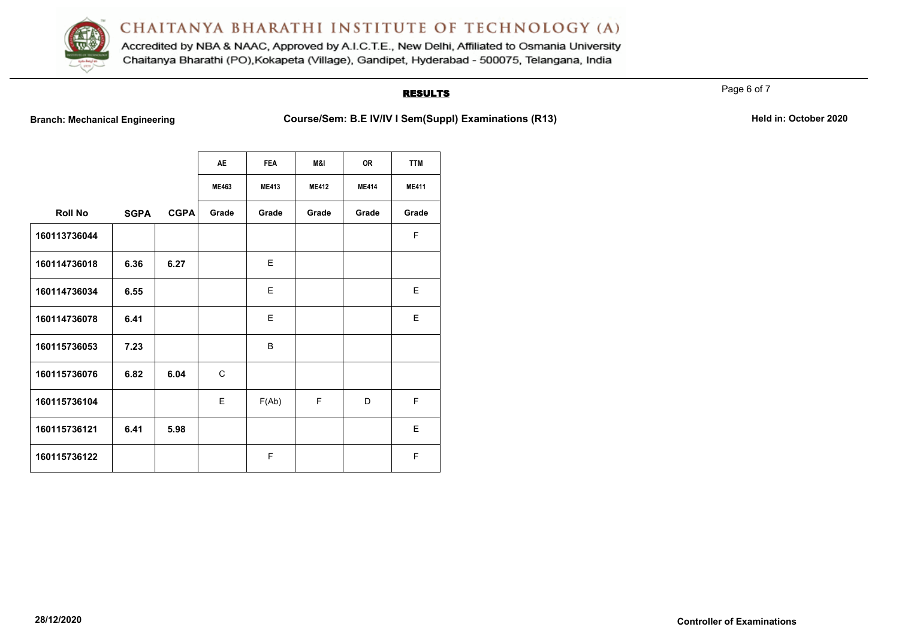

Accredited by NBA & NAAC, Approved by A.I.C.T.E., New Delhi, Affiliated to Osmania University Chaitanya Bharathi (PO), Kokapeta (Village), Gandipet, Hyderabad - 500075, Telangana, India

## **RESULTS**

Page 6 of 7

**Branch: Mechanical Engineering <b>Course/Sem: B.E IV/IV I Sem(Suppl) Examinations (R13)** Held in: October 2020

|                |             |             | <b>AE</b>    | <b>FEA</b>   | I&M          | <b>OR</b>    | <b>TTM</b>   |
|----------------|-------------|-------------|--------------|--------------|--------------|--------------|--------------|
|                |             |             | <b>ME463</b> | <b>ME413</b> | <b>ME412</b> | <b>ME414</b> | <b>ME411</b> |
| <b>Roll No</b> | <b>SGPA</b> | <b>CGPA</b> | Grade        | Grade        | Grade        | Grade        | Grade        |
| 160113736044   |             |             |              |              |              |              | F            |
| 160114736018   | 6.36        | 6.27        |              | E            |              |              |              |
| 160114736034   | 6.55        |             |              | E            |              |              | E            |
| 160114736078   | 6.41        |             |              | E            |              |              | E            |
| 160115736053   | 7.23        |             |              | B            |              |              |              |
| 160115736076   | 6.82        | 6.04        | $\mathsf{C}$ |              |              |              |              |
| 160115736104   |             |             | E            | F(Ab)        | F            | D            | F            |
| 160115736121   | 6.41        | 5.98        |              |              |              |              | E            |
| 160115736122   |             |             |              | F            |              |              | F            |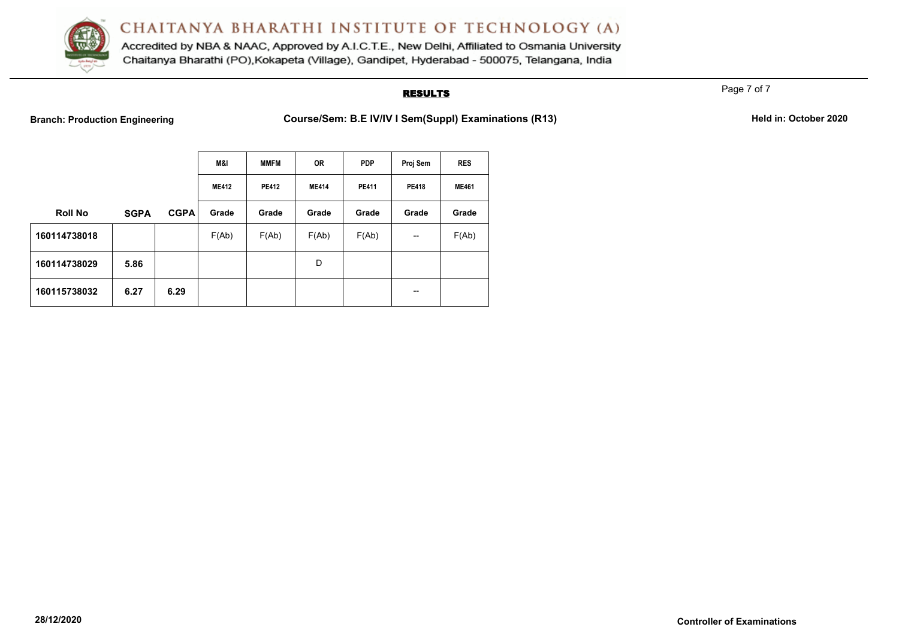

Accredited by NBA & NAAC, Approved by A.I.C.T.E., New Delhi, Affiliated to Osmania University Chaitanya Bharathi (PO), Kokapeta (Village), Gandipet, Hyderabad - 500075, Telangana, India

## **RESULTS**

Page 7 of 7

**Branch: Production Engineering <b>Course/Sem: B.E IV/IV I Sem(Suppl) Examinations (R13)** Held in: October 2020

|                |             |             | M&I          | <b>MMFM</b>  | 0R           | <b>PDP</b>   | Proj Sem                 | <b>RES</b>   |
|----------------|-------------|-------------|--------------|--------------|--------------|--------------|--------------------------|--------------|
|                |             |             | <b>ME412</b> | <b>PE412</b> | <b>ME414</b> | <b>PE411</b> | <b>PE418</b>             | <b>ME461</b> |
| <b>Roll No</b> | <b>SGPA</b> | <b>CGPA</b> | Grade        | Grade        | Grade        | Grade        | Grade                    | Grade        |
| 160114738018   |             |             | F(Ab)        | F(Ab)        | F(Ab)        | F(Ab)        | $\overline{\phantom{a}}$ | F(Ab)        |
| 160114738029   | 5.86        |             |              |              | D            |              |                          |              |
| 160115738032   | 6.27        | 6.29        |              |              |              |              | $\overline{\phantom{m}}$ |              |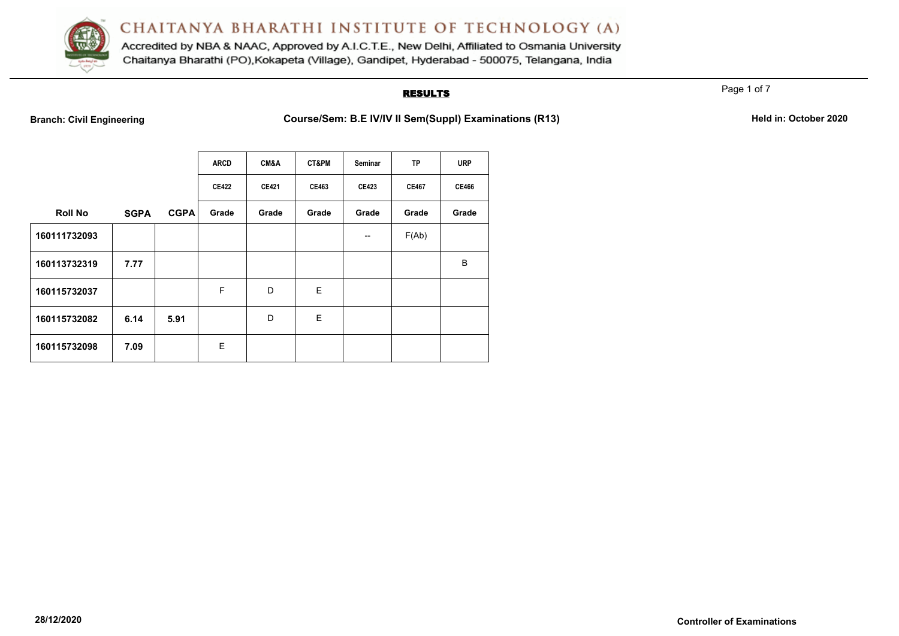

Accredited by NBA & NAAC, Approved by A.I.C.T.E., New Delhi, Affiliated to Osmania University Chaitanya Bharathi (PO), Kokapeta (Village), Gandipet, Hyderabad - 500075, Telangana, India

## **RESULTS**

Page 1 of 7

**Branch: Civil Engineering <b>Course/Sem: B.E IV/IV II Sem(Suppl) Examinations (R13)** Held in: October 2020

|                |             |             | <b>ARCD</b>  | CM&A         | CT&PM | Seminar      | <b>TP</b>    | <b>URP</b>   |
|----------------|-------------|-------------|--------------|--------------|-------|--------------|--------------|--------------|
|                |             |             | <b>CE422</b> | <b>CE421</b> | CE463 | <b>CE423</b> | <b>CE467</b> | <b>CE466</b> |
| <b>Roll No</b> | <b>SGPA</b> | <b>CGPA</b> | Grade        | Grade        | Grade | Grade        | Grade        | Grade        |
| 160111732093   |             |             |              |              |       | --           | F(Ab)        |              |
| 160113732319   | 7.77        |             |              |              |       |              |              | B            |
| 160115732037   |             |             | F            | D            | E     |              |              |              |
| 160115732082   | 6.14        | 5.91        |              | D            | E     |              |              |              |
| 160115732098   | 7.09        |             | E            |              |       |              |              |              |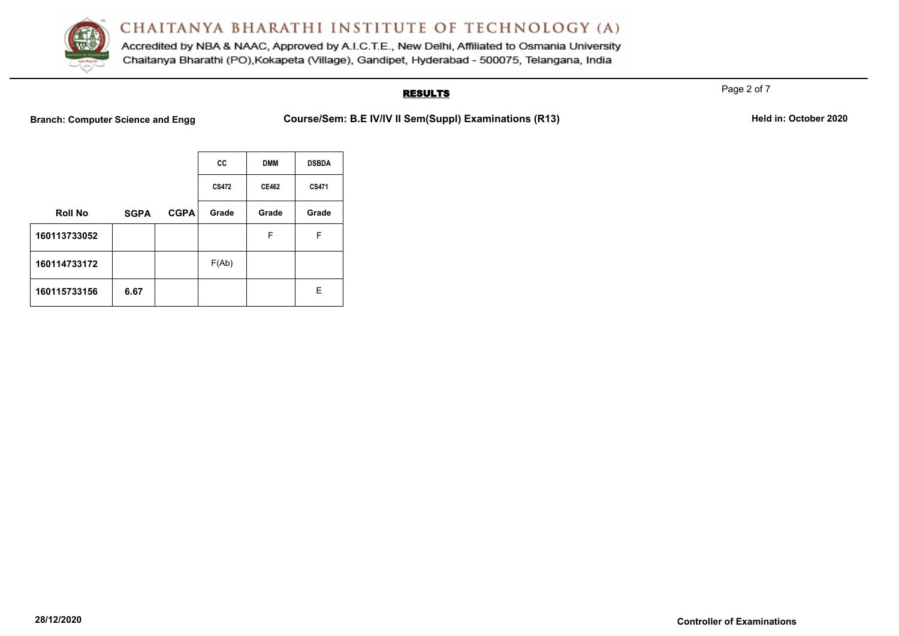

Accredited by NBA & NAAC, Approved by A.I.C.T.E., New Delhi, Affiliated to Osmania University Chaitanya Bharathi (PO), Kokapeta (Village), Gandipet, Hyderabad - 500075, Telangana, India

## **RESULTS**

**Branch: Computer Science and Engg Course/Sem: B.E IV/IV II Sem(Suppl) Examinations (R13)** Held in: October 2020

|                |             |             | CC    | <b>DMM</b>   | <b>DSBDA</b> |
|----------------|-------------|-------------|-------|--------------|--------------|
|                |             |             | CS472 | <b>CE462</b> | CS471        |
| <b>Roll No</b> | <b>SGPA</b> | <b>CGPA</b> | Grade | Grade        | Grade        |
| 160113733052   |             |             |       | F            | F            |
| 160114733172   |             |             | F(Ab) |              |              |
| 160115733156   | 6.67        |             |       |              | Е            |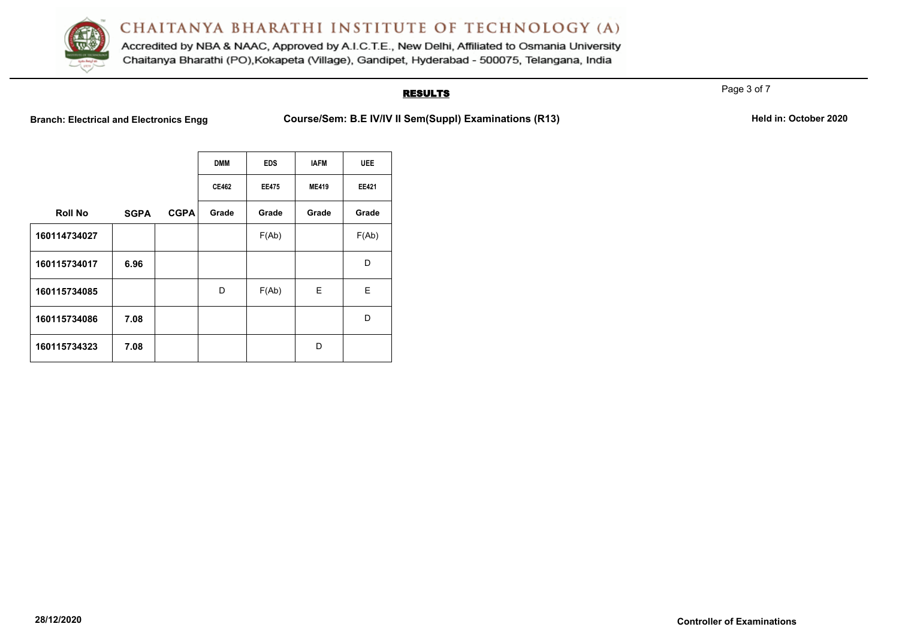

Accredited by NBA & NAAC, Approved by A.I.C.T.E., New Delhi, Affiliated to Osmania University Chaitanya Bharathi (PO), Kokapeta (Village), Gandipet, Hyderabad - 500075, Telangana, India

## **RESULTS**

**Branch: Electrical and Electronics Engg Course/Sem: B.E IV/IV II Sem(Suppl) Examinations (R13)** Held in: October 2020

|                |             |             | <b>DMM</b>   | <b>EDS</b>   | <b>IAFM</b>  | <b>UEE</b>   |
|----------------|-------------|-------------|--------------|--------------|--------------|--------------|
|                |             |             | <b>CE462</b> | <b>EE475</b> | <b>ME419</b> | <b>EE421</b> |
| <b>Roll No</b> | <b>SGPA</b> | <b>CGPA</b> | Grade        | Grade        | Grade        | Grade        |
| 160114734027   |             |             |              | F(Ab)        |              | F(Ab)        |
| 160115734017   | 6.96        |             |              |              |              | D            |
| 160115734085   |             |             | D            | F(Ab)        | E            | E            |
| 160115734086   | 7.08        |             |              |              |              | D            |
| 160115734323   | 7.08        |             |              |              | D            |              |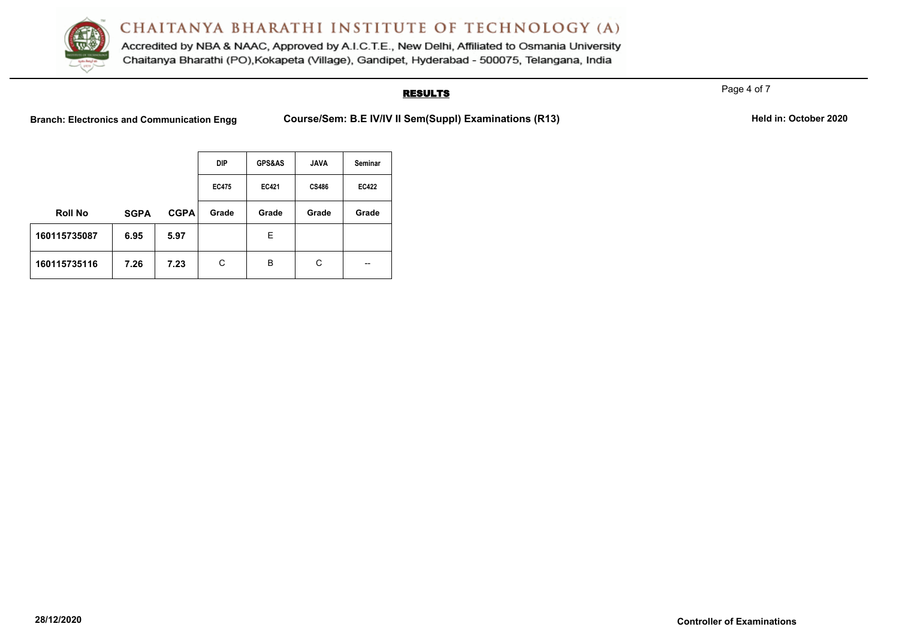

Accredited by NBA & NAAC, Approved by A.I.C.T.E., New Delhi, Affiliated to Osmania University Chaitanya Bharathi (PO), Kokapeta (Village), Gandipet, Hyderabad - 500075, Telangana, India

## **RESULTS**

Page 4 of 7

Branch: Electronics and Communication Engg Course/Sem: B.E IV/IV II Sem(Suppl) Examinations (R13) Held in: October 2020

|                |             |             | <b>DIP</b>   | <b>GPS&amp;AS</b> | <b>JAVA</b>  | Seminar      |
|----------------|-------------|-------------|--------------|-------------------|--------------|--------------|
|                |             |             | <b>EC475</b> | <b>EC421</b>      | <b>CS486</b> | <b>EC422</b> |
| <b>Roll No</b> | <b>SGPA</b> | <b>CGPA</b> | Grade        | Grade             | Grade        | Grade        |
| 160115735087   | 6.95        | 5.97        |              | Е                 |              |              |
| 160115735116   | 7.26        | 7.23        | C            | B                 | C            | --           |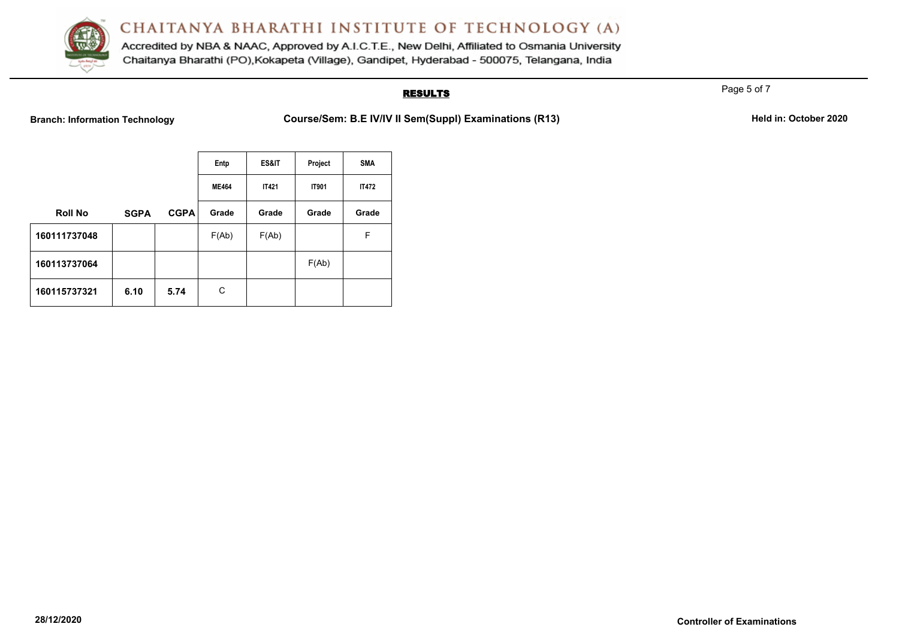

Accredited by NBA & NAAC, Approved by A.I.C.T.E., New Delhi, Affiliated to Osmania University Chaitanya Bharathi (PO), Kokapeta (Village), Gandipet, Hyderabad - 500075, Telangana, India

## **RESULTS**

**Branch: Information Technology <b>Course/Sem: B.E IV/IV II Sem(SuppI) Examinations (R13)** Held in: October 2020

|                |             |             | Entp         | ES&IT        | Project      | <b>SMA</b>   |
|----------------|-------------|-------------|--------------|--------------|--------------|--------------|
|                |             |             | <b>ME464</b> | <b>IT421</b> | <b>IT901</b> | <b>IT472</b> |
| <b>Roll No</b> | <b>SGPA</b> | <b>CGPA</b> | Grade        | Grade        | Grade        | Grade        |
| 160111737048   |             |             | F(Ab)        | F(Ab)        |              | F            |
| 160113737064   |             |             |              |              | F(Ab)        |              |
| 160115737321   | 6.10        | 5.74        | C            |              |              |              |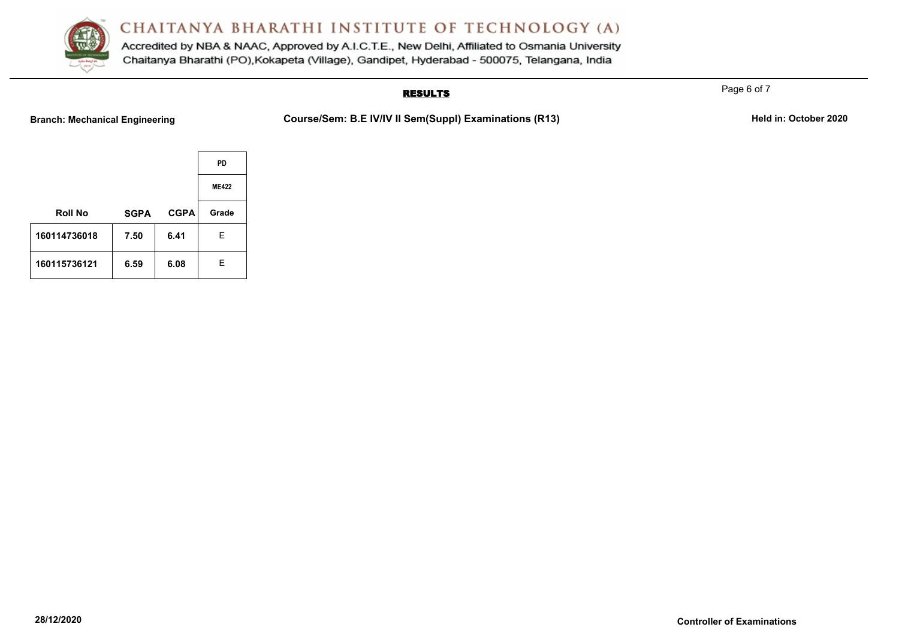

Accredited by NBA & NAAC, Approved by A.I.C.T.E., New Delhi, Affiliated to Osmania University Chaitanya Bharathi (PO), Kokapeta (Village), Gandipet, Hyderabad - 500075, Telangana, India

## **RESULTS**

**Branch: Mechanical Engineering <b>Course/Sem: B.E IV/IV II Sem(Suppl) Examinations (R13)** Held in: October 2020

|                |             |             | <b>PD</b>    |
|----------------|-------------|-------------|--------------|
|                |             |             | <b>ME422</b> |
| <b>Roll No</b> | <b>SGPA</b> | <b>CGPA</b> | Grade        |
| 160114736018   | 7.50        | 6.41        | Е            |
| 160115736121   | 6.59        | 6.08        | E            |